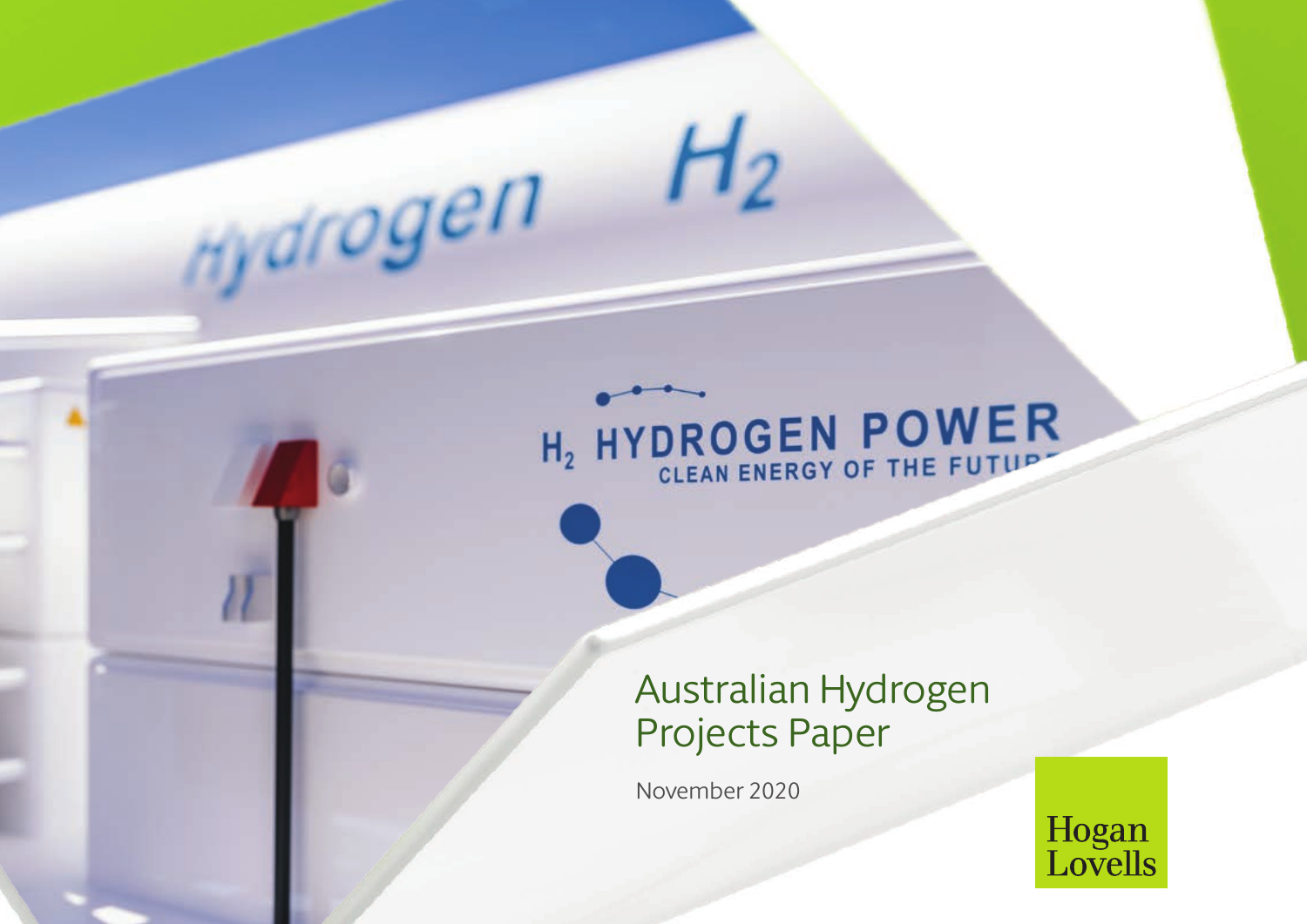# $H_2$  HYDROGEN POWER

 $H_2$ 

Hydrogen

## Australian Hydrogen Projects Paper

November 2020

Hogan<br>Lovells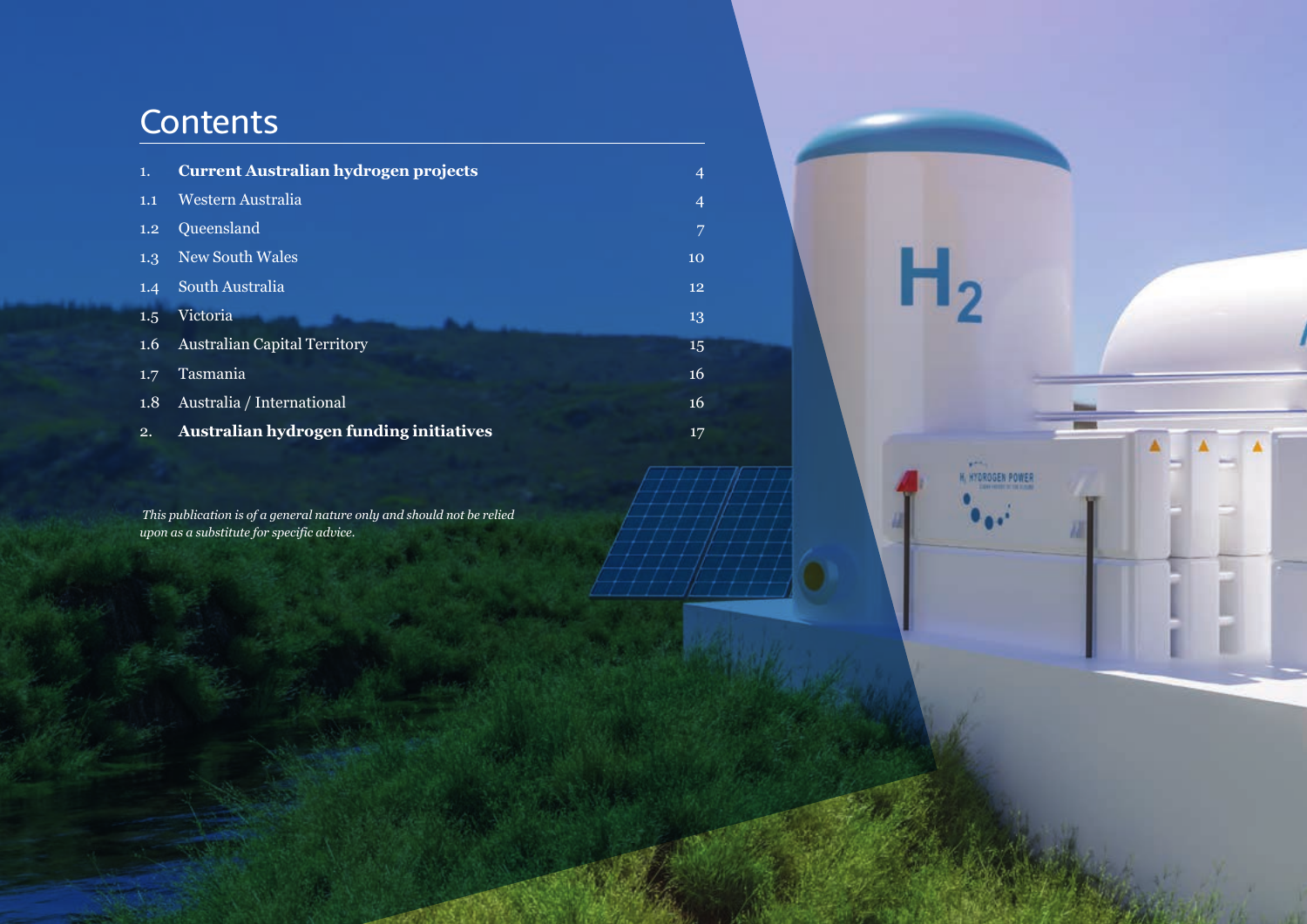## **Contents**

| 1.  | Current Australian hydrogen projects    | $\overline{4}$ |  |
|-----|-----------------------------------------|----------------|--|
| 1.1 | Western Australia                       | $\overline{4}$ |  |
| 1.2 | Queensland                              | 7              |  |
| 1.3 | New South Wales                         | 10             |  |
| 1.4 | South Australia                         | 12             |  |
| 1.5 | Victoria                                | 13             |  |
| 1.6 | <b>Australian Capital Territory</b>     | 15             |  |
| 1.7 | Tasmania                                | 16             |  |
| 1.8 | Australia / International               | 16             |  |
| 2.  | Australian hydrogen funding initiatives | 17             |  |

 $H<sub>2</sub>$ 

H, WYDROGEN POWER

 *This publication is of a general nature only and should not be relied upon as a substitute for specific advice.*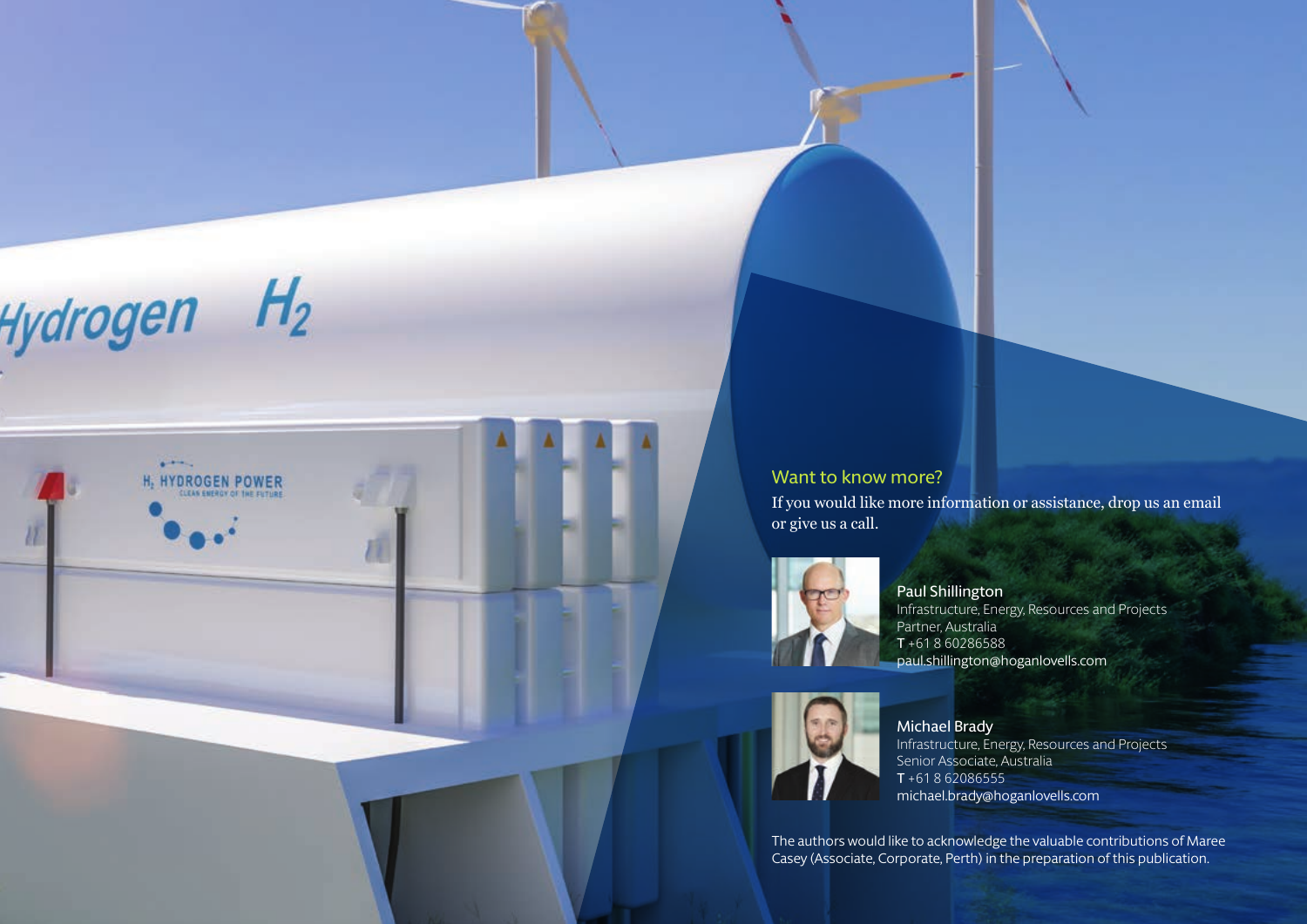



#### Want to know more?

If you would like more information or assistance, drop us an email or give us a call.



Paul Shillington Infrastructure, Energy, Resources and Projects Partner, Australia T +61 8 60286588 paul.shillington@hoganlovells.com



Michael Brady Infrastructure, Energy, Resources and Projects Senior Associate, Australia T +61 8 62086555 michael.brady@hoganlovells.com

The authors would like to acknowledge the valuable contributions of Maree Casey (Associate, Corporate, Perth) in the preparation of this publication.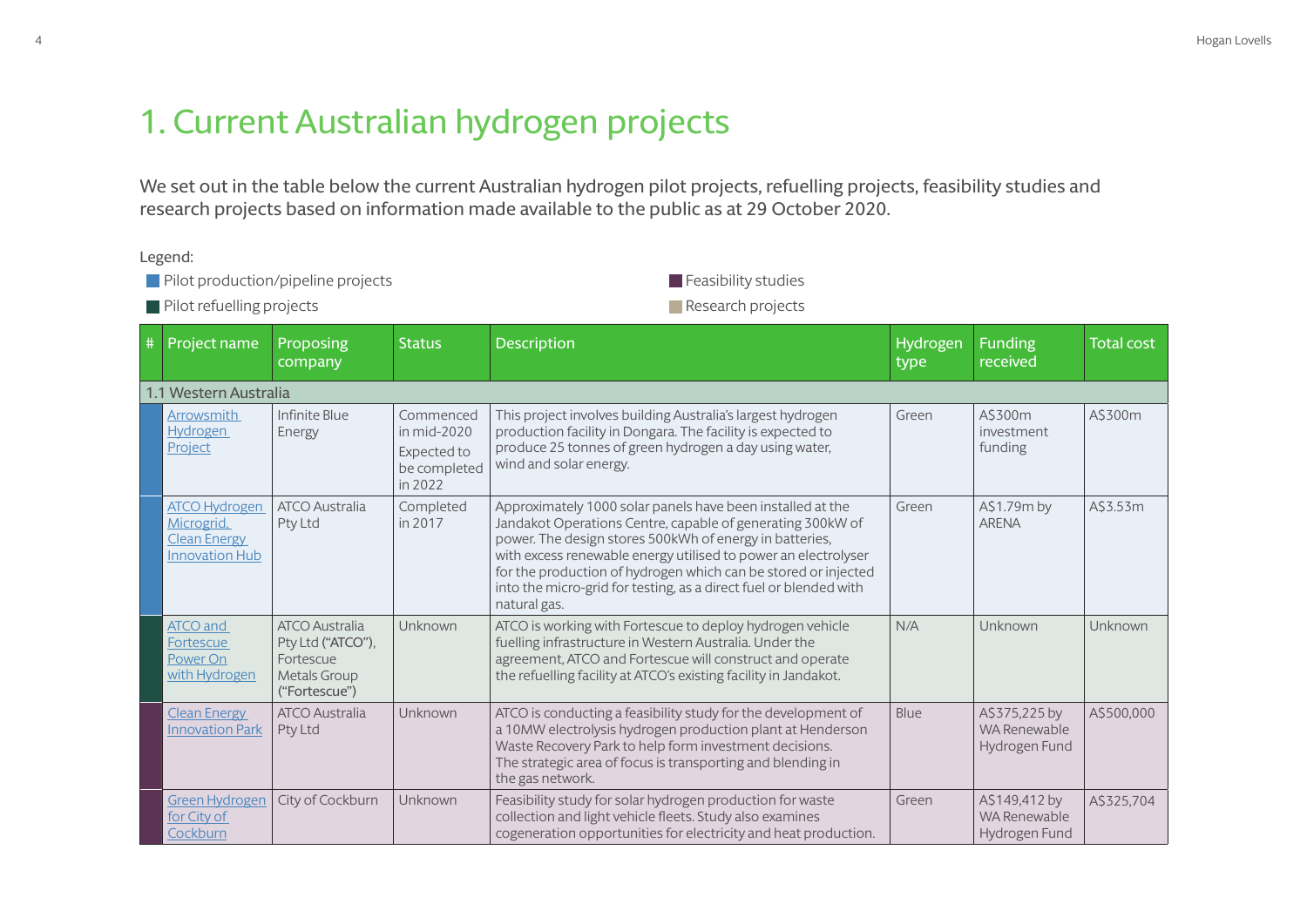## 1. Current Australian hydrogen projects

We set out in the table below the current Australian hydrogen pilot projects, refuelling projects, feasibility studies and research projects based on information made available to the public as at 29 October 2020.

Legend:

**Pilot production/pipeline projects** 

**Pilot refuelling projects** 

**Feasibility studies** Research projects

| $\#$ | Project name                                                                       | Proposing<br>company                                                                            | <b>Status</b>                                                      | <b>Description</b>                                                                                                                                                                                                                                                                                                                                                                                           | Hydrogen<br>type | <b>Funding</b><br>received                     | <b>Total cost</b> |
|------|------------------------------------------------------------------------------------|-------------------------------------------------------------------------------------------------|--------------------------------------------------------------------|--------------------------------------------------------------------------------------------------------------------------------------------------------------------------------------------------------------------------------------------------------------------------------------------------------------------------------------------------------------------------------------------------------------|------------------|------------------------------------------------|-------------------|
|      | 1.1 Western Australia                                                              |                                                                                                 |                                                                    |                                                                                                                                                                                                                                                                                                                                                                                                              |                  |                                                |                   |
|      | Arrowsmith<br><b>Hydrogen</b><br>Project                                           | Infinite Blue<br>Energy                                                                         | Commenced<br>in mid-2020<br>Expected to<br>be completed<br>in 2022 | This project involves building Australia's largest hydrogen<br>production facility in Dongara. The facility is expected to<br>produce 25 tonnes of green hydrogen a day using water,<br>wind and solar energy.                                                                                                                                                                                               | Green            | A\$300m<br>investment<br>funding               | A\$300m           |
|      | <b>ATCO Hydrogen</b><br>Microgrid,<br><b>Clean Energy</b><br><b>Innovation Hub</b> | <b>ATCO Australia</b><br>Pty Ltd                                                                | Completed<br>in 2017                                               | Approximately 1000 solar panels have been installed at the<br>Jandakot Operations Centre, capable of generating 300kW of<br>power. The design stores 500kWh of energy in batteries,<br>with excess renewable energy utilised to power an electrolyser<br>for the production of hydrogen which can be stored or injected<br>into the micro-grid for testing, as a direct fuel or blended with<br>natural gas. | Green            | A\$1.79m by<br><b>ARENA</b>                    | A\$3.53m          |
|      | ATCO and<br>Fortescue<br>Power On<br>with Hydrogen                                 | <b>ATCO Australia</b><br>Pty Ltd ("ATCO"),<br>Fortescue<br><b>Metals Group</b><br>("Fortescue") | Unknown                                                            | ATCO is working with Fortescue to deploy hydrogen vehicle<br>fuelling infrastructure in Western Australia. Under the<br>agreement, ATCO and Fortescue will construct and operate<br>the refuelling facility at ATCO's existing facility in Jandakot.                                                                                                                                                         | N/A              | Unknown                                        | Unknown           |
|      | <b>Clean Energy</b><br><b>Innovation Park</b>                                      | <b>ATCO Australia</b><br>Pty Ltd                                                                | Unknown                                                            | ATCO is conducting a feasibility study for the development of<br>a 10MW electrolysis hydrogen production plant at Henderson<br>Waste Recovery Park to help form investment decisions.<br>The strategic area of focus is transporting and blending in<br>the gas network.                                                                                                                                     | Blue             | A\$375,225 by<br>WA Renewable<br>Hydrogen Fund | A\$500,000        |
|      | <b>Green Hydrogen</b><br>for City of<br>Cockburn                                   | City of Cockburn                                                                                | Unknown                                                            | Feasibility study for solar hydrogen production for waste<br>collection and light vehicle fleets. Study also examines<br>cogeneration opportunities for electricity and heat production.                                                                                                                                                                                                                     | Green            | A\$149,412 by<br>WA Renewable<br>Hydrogen Fund | A\$325,704        |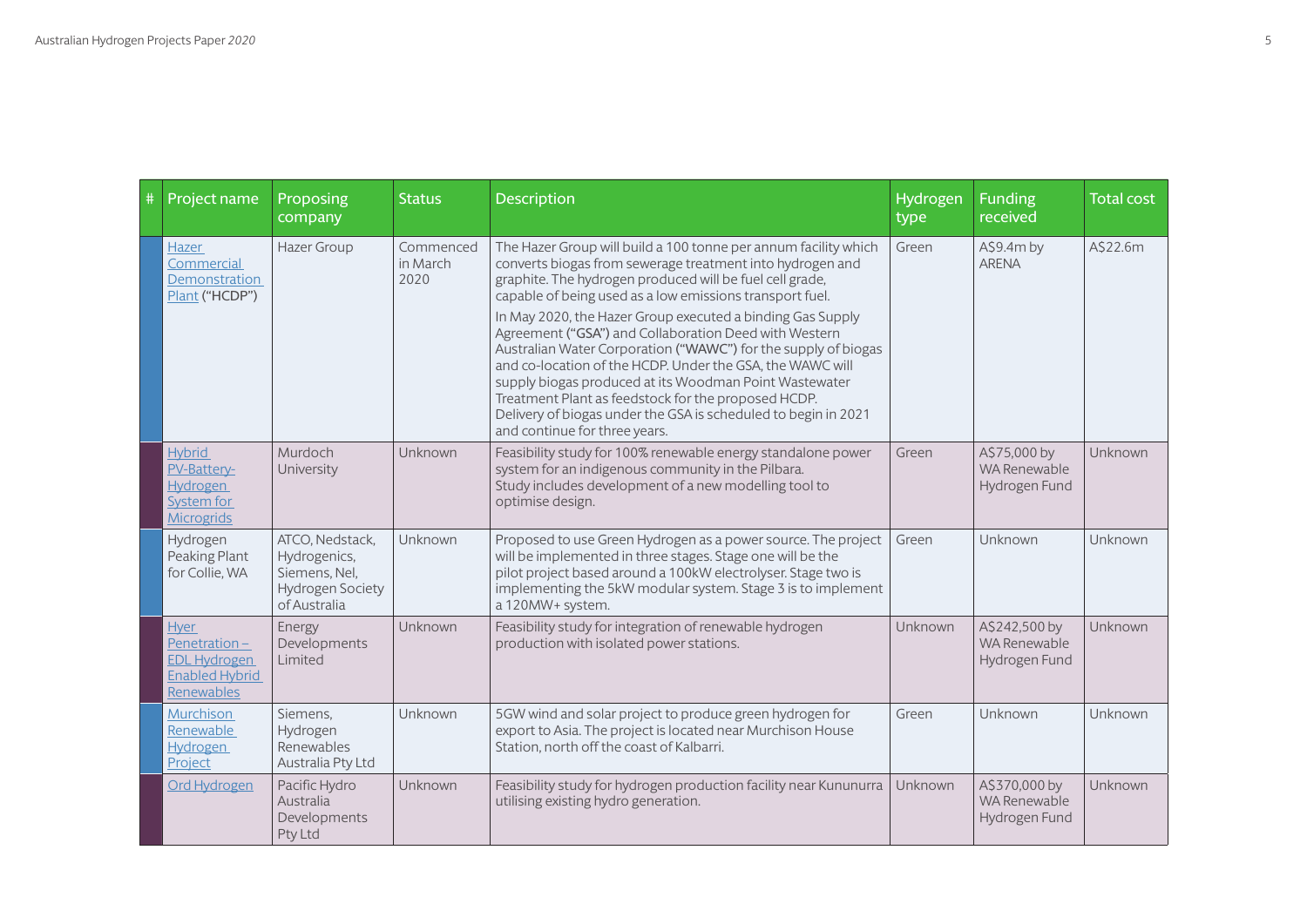| # | Project name                                                                       | Proposing<br>company                                                                        | <b>Status</b>                 | <b>Description</b>                                                                                                                                                                                                                                                                                                                                                                                                                                                                                                                                                                                                                                                                                                             | Hydrogen<br>type | <b>Funding</b><br>received                     | <b>Total cost</b> |
|---|------------------------------------------------------------------------------------|---------------------------------------------------------------------------------------------|-------------------------------|--------------------------------------------------------------------------------------------------------------------------------------------------------------------------------------------------------------------------------------------------------------------------------------------------------------------------------------------------------------------------------------------------------------------------------------------------------------------------------------------------------------------------------------------------------------------------------------------------------------------------------------------------------------------------------------------------------------------------------|------------------|------------------------------------------------|-------------------|
|   | Hazer<br>Commercial<br><b>Demonstration</b><br>Plant ("HCDP")                      | <b>Hazer Group</b>                                                                          | Commenced<br>in March<br>2020 | The Hazer Group will build a 100 tonne per annum facility which<br>converts biogas from sewerage treatment into hydrogen and<br>graphite. The hydrogen produced will be fuel cell grade,<br>capable of being used as a low emissions transport fuel.<br>In May 2020, the Hazer Group executed a binding Gas Supply<br>Agreement ("GSA") and Collaboration Deed with Western<br>Australian Water Corporation ("WAWC") for the supply of biogas<br>and co-location of the HCDP. Under the GSA, the WAWC will<br>supply biogas produced at its Woodman Point Wastewater<br>Treatment Plant as feedstock for the proposed HCDP.<br>Delivery of biogas under the GSA is scheduled to begin in 2021<br>and continue for three years. | Green            | A\$9.4m by<br><b>ARENA</b>                     | A\$22.6m          |
|   | <b>Hybrid</b><br>PV-Battery-<br><b>Hydrogen</b><br>System for<br><b>Microgrids</b> | Murdoch<br>University                                                                       | Unknown                       | Feasibility study for 100% renewable energy standalone power<br>system for an indigenous community in the Pilbara.<br>Study includes development of a new modelling tool to<br>optimise design.                                                                                                                                                                                                                                                                                                                                                                                                                                                                                                                                | Green            | A\$75,000 by<br>WA Renewable<br>Hydrogen Fund  | Unknown           |
|   | Hydrogen<br>Peaking Plant<br>for Collie, WA                                        | ATCO, Nedstack,<br>Hydrogenics,<br>Siemens, Nel,<br><b>Hydrogen Society</b><br>of Australia | Unknown                       | Proposed to use Green Hydrogen as a power source. The project<br>will be implemented in three stages. Stage one will be the<br>pilot project based around a 100kW electrolyser. Stage two is<br>implementing the 5kW modular system. Stage 3 is to implement<br>a 120MW+ system.                                                                                                                                                                                                                                                                                                                                                                                                                                               | Green            | Unknown                                        | Unknown           |
|   | Hyer<br>Penetration-<br><b>EDL Hydrogen</b><br><b>Enabled Hybrid</b><br>Renewables | Energy<br>Developments<br>Limited                                                           | Unknown                       | Feasibility study for integration of renewable hydrogen<br>production with isolated power stations.                                                                                                                                                                                                                                                                                                                                                                                                                                                                                                                                                                                                                            | Unknown          | A\$242,500 by<br>WA Renewable<br>Hydrogen Fund | Unknown           |
|   | Murchison<br>Renewable<br><b>Hydrogen</b><br>Project                               | Siemens.<br>Hydrogen<br>Renewables<br>Australia Pty Ltd                                     | Unknown                       | 5GW wind and solar project to produce green hydrogen for<br>export to Asia. The project is located near Murchison House<br>Station, north off the coast of Kalbarri.                                                                                                                                                                                                                                                                                                                                                                                                                                                                                                                                                           | Green            | Unknown                                        | Unknown           |
|   | Ord Hydrogen                                                                       | Pacific Hydro<br>Australia<br>Developments<br>Pty Ltd                                       | Unknown                       | Feasibility study for hydrogen production facility near Kununurra<br>utilising existing hydro generation.                                                                                                                                                                                                                                                                                                                                                                                                                                                                                                                                                                                                                      | Unknown          | A\$370,000 by<br>WA Renewable<br>Hydrogen Fund | Unknown           |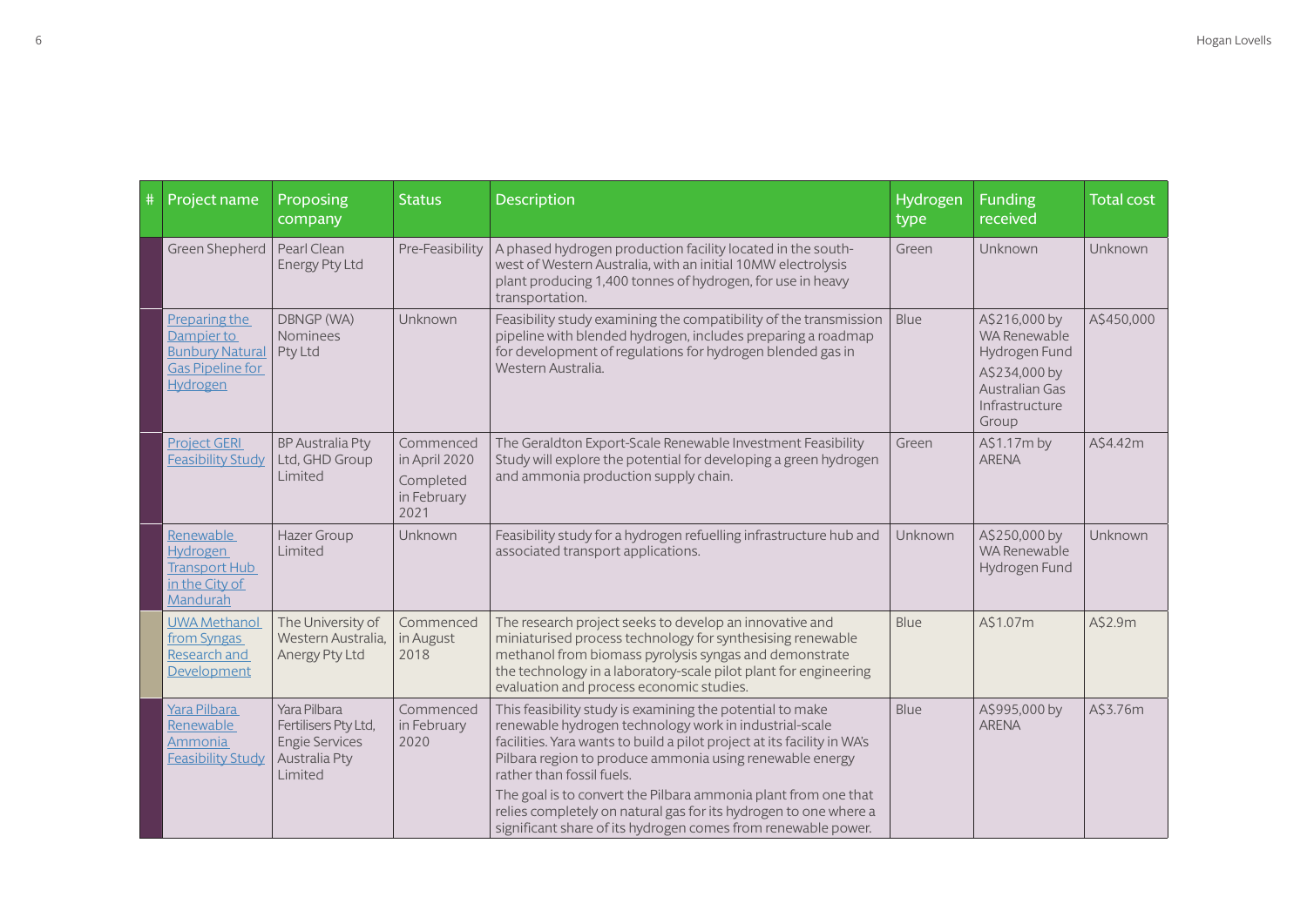| # | Project name                                                                                 | Proposing<br>company                                                                             | <b>Status</b>                                                  | <b>Description</b>                                                                                                                                                                                                                                                                              | Hydrogen<br>type | <b>Funding</b><br>received                                                                                   | <b>Total cost</b> |
|---|----------------------------------------------------------------------------------------------|--------------------------------------------------------------------------------------------------|----------------------------------------------------------------|-------------------------------------------------------------------------------------------------------------------------------------------------------------------------------------------------------------------------------------------------------------------------------------------------|------------------|--------------------------------------------------------------------------------------------------------------|-------------------|
|   | Green Shepherd                                                                               | Pearl Clean<br><b>Energy Pty Ltd</b>                                                             | Pre-Feasibility                                                | A phased hydrogen production facility located in the south-<br>west of Western Australia, with an initial 10MW electrolysis<br>plant producing 1,400 tonnes of hydrogen, for use in heavy<br>transportation.                                                                                    | Green            | Unknown                                                                                                      | Unknown           |
|   | Preparing the<br>Dampier to<br><b>Bunbury Natural</b><br><b>Gas Pipeline for</b><br>Hydrogen | DBNGP (WA)<br><b>Nominees</b><br>Pty Ltd                                                         | Unknown                                                        | Feasibility study examining the compatibility of the transmission<br>pipeline with blended hydrogen, includes preparing a roadmap<br>for development of regulations for hydrogen blended gas in<br>Western Australia.                                                                           | Blue             | A\$216,000 by<br>WA Renewable<br>Hydrogen Fund<br>A\$234,000 by<br>Australian Gas<br>Infrastructure<br>Group | A\$450,000        |
|   | <b>Project GERI</b><br><b>Feasibility Study</b>                                              | <b>BP Australia Pty</b><br>Ltd, GHD Group<br>Limited                                             | Commenced<br>in April 2020<br>Completed<br>in February<br>2021 | The Geraldton Export-Scale Renewable Investment Feasibility<br>Study will explore the potential for developing a green hydrogen<br>and ammonia production supply chain.                                                                                                                         | Green            | A\$1.17m by<br><b>ARENA</b>                                                                                  | A\$4.42m          |
|   | Renewable<br>Hydrogen<br><b>Transport Hub</b><br>in the City of<br>Mandurah                  | <b>Hazer Group</b><br>Limited                                                                    | Unknown                                                        | Feasibility study for a hydrogen refuelling infrastructure hub and<br>associated transport applications.                                                                                                                                                                                        | Unknown          | A\$250,000 by<br>WA Renewable<br>Hydrogen Fund                                                               | Unknown           |
|   | <b>UWA Methanol</b><br>from Syngas<br>Research and<br>Development                            | The University of<br>Western Australia,<br>Anergy Pty Ltd                                        | Commenced<br>in August<br>2018                                 | The research project seeks to develop an innovative and<br>miniaturised process technology for synthesising renewable<br>methanol from biomass pyrolysis syngas and demonstrate<br>the technology in a laboratory-scale pilot plant for engineering<br>evaluation and process economic studies. | Blue             | A\$1.07m                                                                                                     | AS2.9m            |
|   | Yara Pilbara<br>Renewable<br>Ammonia<br><b>Feasibility Study</b>                             | Yara Pilbara<br>Fertilisers Pty Ltd,<br><b>Engie Services</b><br><b>Australia Pty</b><br>Limited | Commenced<br>in February<br>2020                               | This feasibility study is examining the potential to make<br>renewable hydrogen technology work in industrial-scale<br>facilities. Yara wants to build a pilot project at its facility in WA's<br>Pilbara region to produce ammonia using renewable energy<br>rather than fossil fuels.         | Blue             | A\$995,000 by<br><b>ARENA</b>                                                                                | A\$3.76m          |
|   |                                                                                              |                                                                                                  |                                                                | The goal is to convert the Pilbara ammonia plant from one that<br>relies completely on natural gas for its hydrogen to one where a<br>significant share of its hydrogen comes from renewable power.                                                                                             |                  |                                                                                                              |                   |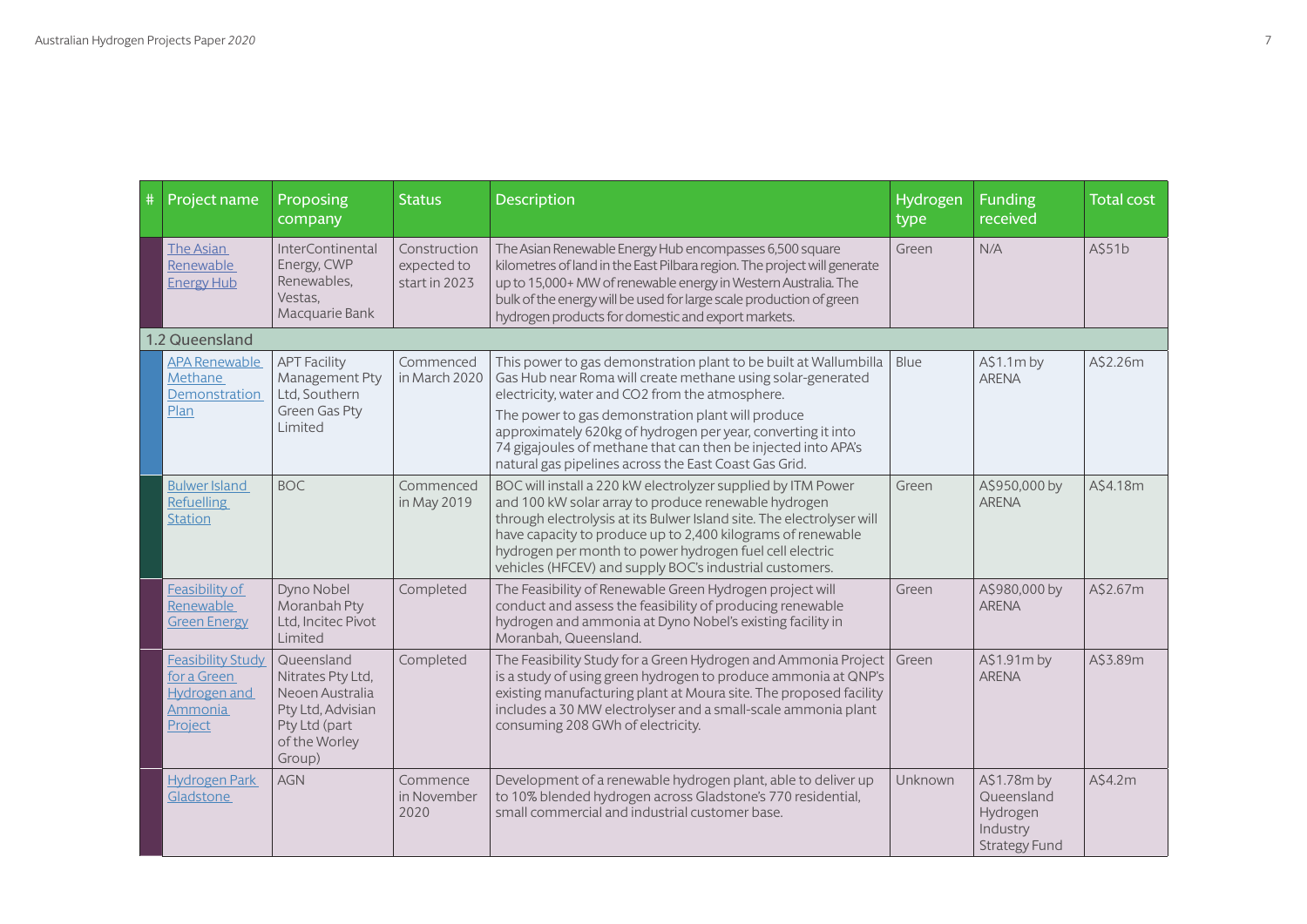| # | Project name                                                                         | Proposing<br>company                                                                                                | <b>Status</b>                                | <b>Description</b>                                                                                                                                                                                                                                                                                                                                                                                                                | Hydrogen<br>type | <b>Funding</b><br>received                                                | <b>Total cost</b> |
|---|--------------------------------------------------------------------------------------|---------------------------------------------------------------------------------------------------------------------|----------------------------------------------|-----------------------------------------------------------------------------------------------------------------------------------------------------------------------------------------------------------------------------------------------------------------------------------------------------------------------------------------------------------------------------------------------------------------------------------|------------------|---------------------------------------------------------------------------|-------------------|
|   | The Asian<br>Renewable<br><b>Energy Hub</b>                                          | <b>InterContinental</b><br>Energy, CWP<br>Renewables,<br>Vestas.<br>Macquarie Bank                                  | Construction<br>expected to<br>start in 2023 | The Asian Renewable Energy Hub encompasses 6,500 square<br>kilometres of land in the East Pilbara region. The project will generate<br>up to 15,000+ MW of renewable energy in Western Australia. The<br>bulk of the energy will be used for large scale production of green<br>hydrogen products for domestic and export markets.                                                                                                | Green            | N/A                                                                       | A\$51b            |
|   | 1.2 Queensland                                                                       |                                                                                                                     |                                              |                                                                                                                                                                                                                                                                                                                                                                                                                                   |                  |                                                                           |                   |
|   | <b>APA Renewable</b><br>Methane<br>Demonstration<br>Plan                             | <b>APT Facility</b><br>Management Pty<br>Ltd, Southern<br><b>Green Gas Pty</b><br>Limited                           | Commenced<br>in March 2020                   | This power to gas demonstration plant to be built at Wallumbilla<br>Gas Hub near Roma will create methane using solar-generated<br>electricity, water and CO2 from the atmosphere.<br>The power to gas demonstration plant will produce<br>approximately 620kg of hydrogen per year, converting it into<br>74 gigajoules of methane that can then be injected into APA's<br>natural gas pipelines across the East Coast Gas Grid. | Blue             | A\$1.1m by<br><b>ARENA</b>                                                | A\$2.26m          |
|   | <b>Bulwer Island</b><br><b>Refuelling</b><br><b>Station</b>                          | <b>BOC</b>                                                                                                          | Commenced<br>in May 2019                     | BOC will install a 220 kW electrolyzer supplied by ITM Power<br>and 100 kW solar array to produce renewable hydrogen<br>through electrolysis at its Bulwer Island site. The electrolyser will<br>have capacity to produce up to 2,400 kilograms of renewable<br>hydrogen per month to power hydrogen fuel cell electric<br>vehicles (HFCEV) and supply BOC's industrial customers.                                                | Green            | A\$950,000 by<br><b>ARENA</b>                                             | A\$4.18m          |
|   | Feasibility of<br>Renewable<br><b>Green Energy</b>                                   | Dyno Nobel<br>Moranbah Pty<br>Ltd, Incitec Pivot<br>I imited                                                        | Completed                                    | The Feasibility of Renewable Green Hydrogen project will<br>conduct and assess the feasibility of producing renewable<br>hydrogen and ammonia at Dyno Nobel's existing facility in<br>Moranbah, Queensland.                                                                                                                                                                                                                       | Green            | A\$980,000 by<br><b>ARENA</b>                                             | A\$2.67m          |
|   | <b>Feasibility Study</b><br>for a Green<br><b>Hydrogen and</b><br>Ammonia<br>Project | Queensland<br>Nitrates Pty Ltd,<br>Neoen Australia<br>Pty Ltd, Advisian<br>Pty Ltd (part<br>of the Worley<br>Group) | Completed                                    | The Feasibility Study for a Green Hydrogen and Ammonia Project<br>is a study of using green hydrogen to produce ammonia at QNP's<br>existing manufacturing plant at Moura site. The proposed facility<br>includes a 30 MW electrolyser and a small-scale ammonia plant<br>consuming 208 GWh of electricity.                                                                                                                       | Green            | A\$1.91m by<br><b>ARENA</b>                                               | A\$3.89m          |
|   | <b>Hydrogen Park</b><br>Gladstone                                                    | <b>AGN</b>                                                                                                          | Commence<br>in November<br>2020              | Development of a renewable hydrogen plant, able to deliver up<br>to 10% blended hydrogen across Gladstone's 770 residential,<br>small commercial and industrial customer base.                                                                                                                                                                                                                                                    | Unknown          | A\$1.78m by<br>Queensland<br>Hydrogen<br>Industry<br><b>Strategy Fund</b> | A\$4.2m           |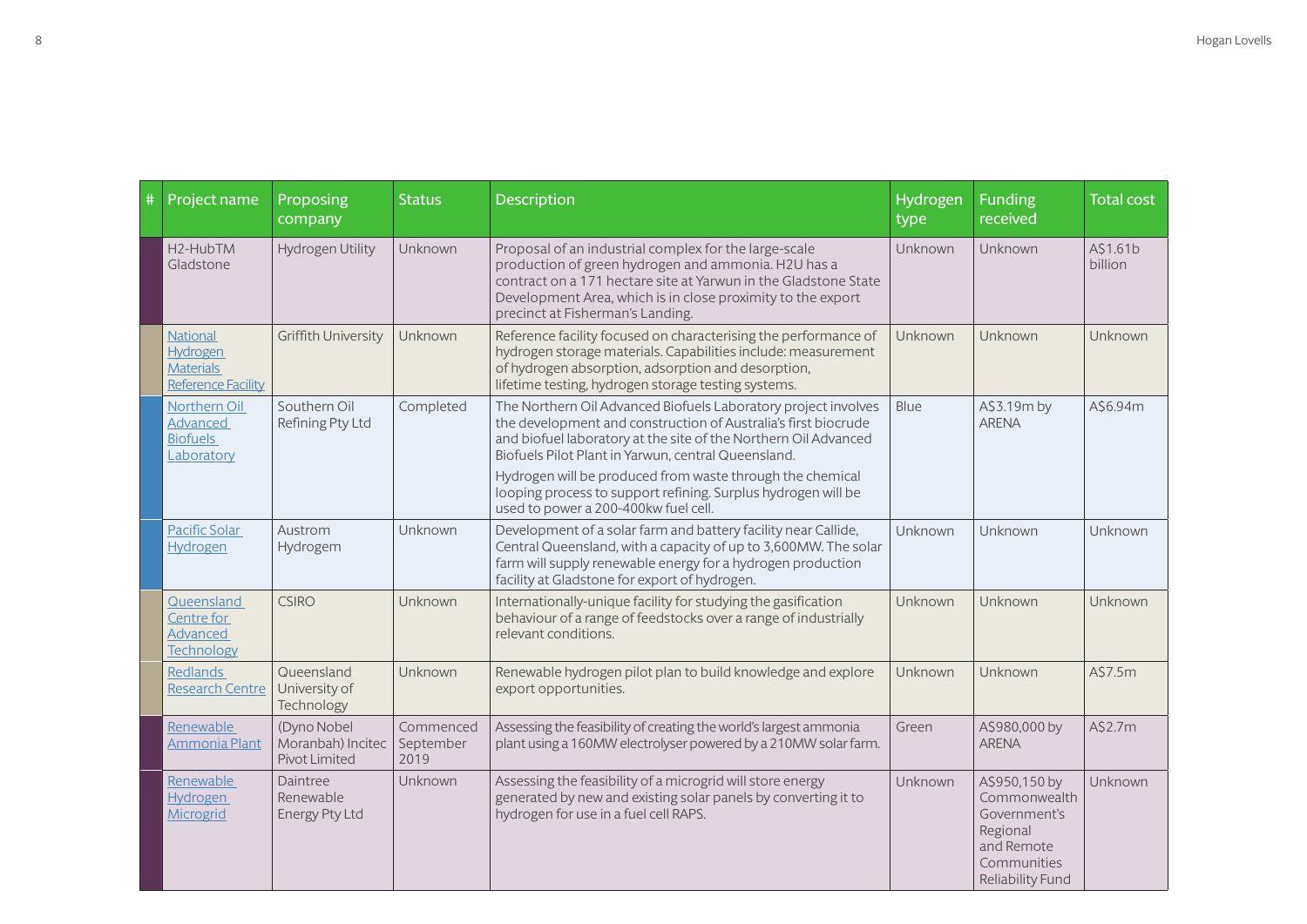| # | Project name                                                                        | Proposing<br>company                              | <b>Status</b>                  | <b>Description</b>                                                                                                                                                                                                                                                                 | Hydrogen<br>type | <b>Funding</b><br>received                                                                                        | <b>Total cost</b>   |
|---|-------------------------------------------------------------------------------------|---------------------------------------------------|--------------------------------|------------------------------------------------------------------------------------------------------------------------------------------------------------------------------------------------------------------------------------------------------------------------------------|------------------|-------------------------------------------------------------------------------------------------------------------|---------------------|
|   | H2-HubTM<br>Gladstone                                                               | Hydrogen Utility                                  | Unknown                        | Proposal of an industrial complex for the large-scale<br>production of green hydrogen and ammonia. H2U has a<br>contract on a 171 hectare site at Yarwun in the Gladstone State<br>Development Area, which is in close proximity to the export<br>precinct at Fisherman's Landing. | Unknown          | Unknown                                                                                                           | A\$1.61b<br>billion |
|   | <b>National</b><br><b>Hydrogen</b><br><b>Materials</b><br><b>Reference Facility</b> | <b>Griffith University</b>                        | Unknown                        | Reference facility focused on characterising the performance of<br>hydrogen storage materials. Capabilities include: measurement<br>of hydrogen absorption, adsorption and desorption,<br>lifetime testing, hydrogen storage testing systems.                                      | Unknown          | Unknown                                                                                                           | Unknown             |
|   | Northern Oil<br>Advanced<br><b>Biofuels</b><br>Laboratory                           | Southern Oil<br>Refining Pty Ltd                  | Completed                      | The Northern Oil Advanced Biofuels Laboratory project involves<br>the development and construction of Australia's first biocrude<br>and biofuel laboratory at the site of the Northern Oil Advanced<br>Biofuels Pilot Plant in Yarwun, central Queensland.                         | Blue             | A\$3.19m by<br><b>ARENA</b>                                                                                       | A\$6.94m            |
|   |                                                                                     |                                                   |                                | Hydrogen will be produced from waste through the chemical<br>looping process to support refining. Surplus hydrogen will be<br>used to power a 200-400kw fuel cell.                                                                                                                 |                  |                                                                                                                   |                     |
|   | Pacific Solar<br>Hydrogen                                                           | Austrom<br>Hydrogem                               | Unknown                        | Development of a solar farm and battery facility near Callide,<br>Central Queensland, with a capacity of up to 3,600MW. The solar<br>farm will supply renewable energy for a hydrogen production<br>facility at Gladstone for export of hydrogen.                                  | Unknown          | Unknown                                                                                                           | Unknown             |
|   | Queensland<br>Centre for<br><b>Advanced</b><br>Technology                           | <b>CSIRO</b>                                      | Unknown                        | Internationally-unique facility for studying the gasification<br>behaviour of a range of feedstocks over a range of industrially<br>relevant conditions.                                                                                                                           | Unknown          | Unknown                                                                                                           | Unknown             |
|   | <b>Redlands</b><br><b>Research Centre</b>                                           | Queensland<br>University of<br>Technology         | Unknown                        | Renewable hydrogen pilot plan to build knowledge and explore<br>export opportunities.                                                                                                                                                                                              | Unknown          | Unknown                                                                                                           | A\$7.5m             |
|   | Renewable<br>Ammonia Plant                                                          | (Dyno Nobel<br>Moranbah) Incitec<br>Pivot Limited | Commenced<br>September<br>2019 | Assessing the feasibility of creating the world's largest ammonia<br>plant using a 160MW electrolyser powered by a 210MW solar farm.                                                                                                                                               | Green            | A\$980,000 by<br><b>ARENA</b>                                                                                     | A\$2.7m             |
|   | Renewable<br><b>Hydrogen</b><br><b>Microgrid</b>                                    | Daintree<br>Renewable<br><b>Energy Pty Ltd</b>    | Unknown                        | Assessing the feasibility of a microgrid will store energy<br>generated by new and existing solar panels by converting it to<br>hydrogen for use in a fuel cell RAPS.                                                                                                              | Unknown          | A\$950,150 by<br>Commonwealth<br>Government's<br>Regional<br>and Remote<br>Communities<br><b>Reliability Fund</b> | Unknown             |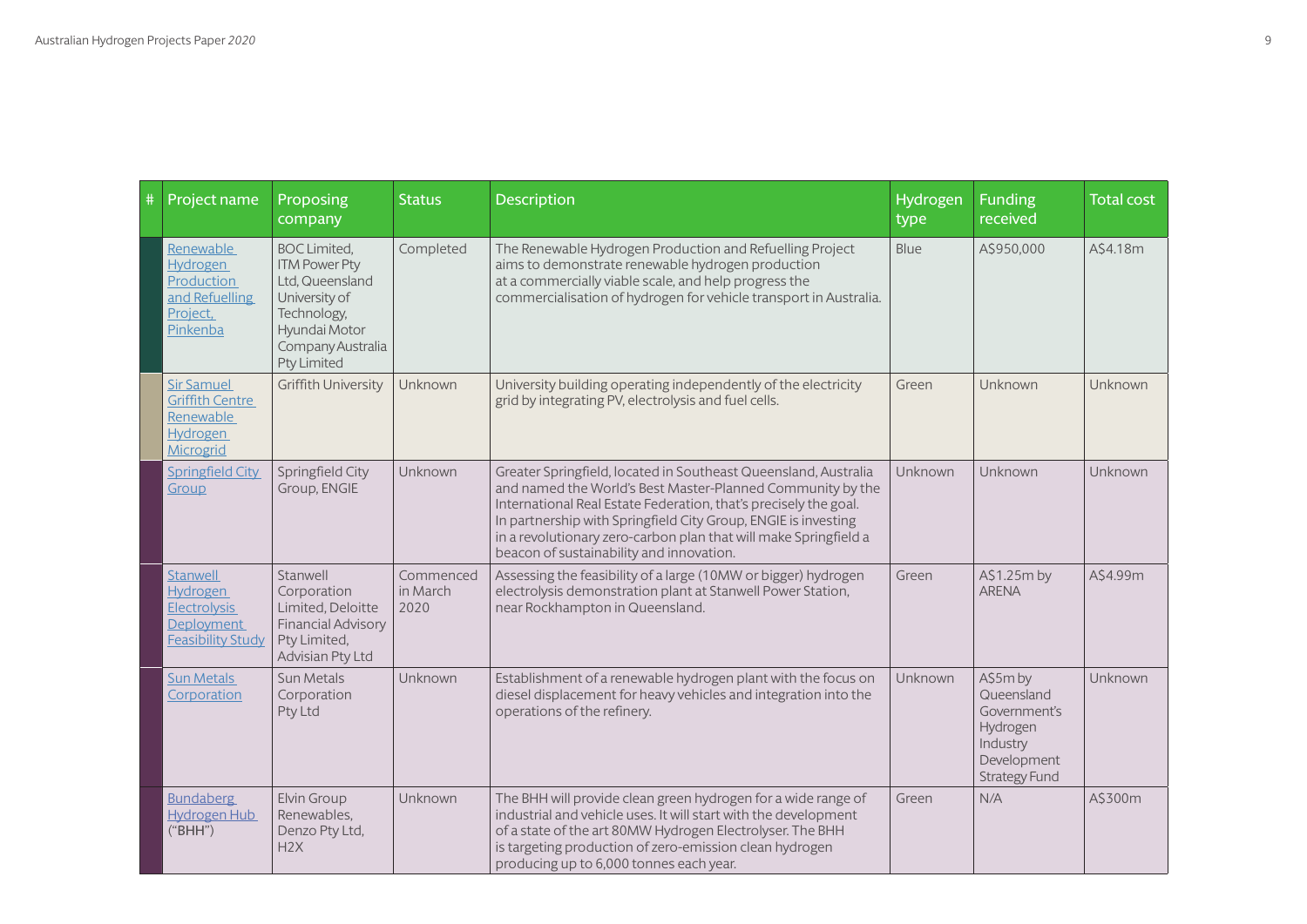| # | Project name                                                                                 | Proposing<br>company                                                                                                                                       | <b>Status</b>                 | <b>Description</b>                                                                                                                                                                                                                                                                                                                                                                  | Hydrogen<br>type | <b>Funding</b><br>received                                                                            | <b>Total cost</b> |
|---|----------------------------------------------------------------------------------------------|------------------------------------------------------------------------------------------------------------------------------------------------------------|-------------------------------|-------------------------------------------------------------------------------------------------------------------------------------------------------------------------------------------------------------------------------------------------------------------------------------------------------------------------------------------------------------------------------------|------------------|-------------------------------------------------------------------------------------------------------|-------------------|
|   | Renewable<br><b>Hydrogen</b><br>Production<br>and Refuelling<br>Project,<br>Pinkenba         | <b>BOC Limited,</b><br><b>ITM Power Pty</b><br>Ltd, Queensland<br>University of<br>Technology,<br>Hyundai Motor<br>Company Australia<br><b>Pty Limited</b> | Completed                     | The Renewable Hydrogen Production and Refuelling Project<br>aims to demonstrate renewable hydrogen production<br>at a commercially viable scale, and help progress the<br>commercialisation of hydrogen for vehicle transport in Australia.                                                                                                                                         | Blue             | A\$950,000                                                                                            | A\$4.18m          |
|   | <b>Sir Samuel</b><br><b>Griffith Centre</b><br>Renewable<br><b>Hydrogen</b><br>Microgrid     | <b>Griffith University</b>                                                                                                                                 | Unknown                       | University building operating independently of the electricity<br>grid by integrating PV, electrolysis and fuel cells.                                                                                                                                                                                                                                                              | Green            | Unknown                                                                                               | Unknown           |
|   | Springfield City<br>Group                                                                    | Springfield City<br>Group, ENGIE                                                                                                                           | Unknown                       | Greater Springfield, located in Southeast Queensland, Australia<br>and named the World's Best Master-Planned Community by the<br>International Real Estate Federation, that's precisely the goal.<br>In partnership with Springfield City Group, ENGIE is investing<br>in a revolutionary zero-carbon plan that will make Springfield a<br>beacon of sustainability and innovation. | Unknown          | Unknown                                                                                               | Unknown           |
|   | Stanwell<br><b>Hydrogen</b><br>Electrolysis<br><b>Deployment</b><br><b>Feasibility Study</b> | Stanwell<br>Corporation<br>Limited, Deloitte<br><b>Financial Advisory</b><br>Pty Limited,<br>Advisian Pty Ltd                                              | Commenced<br>in March<br>2020 | Assessing the feasibility of a large (10MW or bigger) hydrogen<br>electrolysis demonstration plant at Stanwell Power Station,<br>near Rockhampton in Queensland.                                                                                                                                                                                                                    | Green            | A\$1.25m by<br><b>ARENA</b>                                                                           | A\$4.99m          |
|   | <b>Sun Metals</b><br>Corporation                                                             | Sun Metals<br>Corporation<br>Pty Ltd                                                                                                                       | Unknown                       | Establishment of a renewable hydrogen plant with the focus on<br>diesel displacement for heavy vehicles and integration into the<br>operations of the refinery.                                                                                                                                                                                                                     | Unknown          | A\$5m by<br>Queensland<br>Government's<br>Hydrogen<br>Industry<br>Development<br><b>Strategy Fund</b> | Unknown           |
|   | <b>Bundaberg</b><br><b>Hydrogen Hub</b><br>("BHH")                                           | Elvin Group<br>Renewables,<br>Denzo Pty Ltd,<br>H2X                                                                                                        | Unknown                       | The BHH will provide clean green hydrogen for a wide range of<br>industrial and vehicle uses. It will start with the development<br>of a state of the art 80MW Hydrogen Electrolyser. The BHH<br>is targeting production of zero-emission clean hydrogen<br>producing up to 6,000 tonnes each year.                                                                                 | Green            | N/A                                                                                                   | A\$300m           |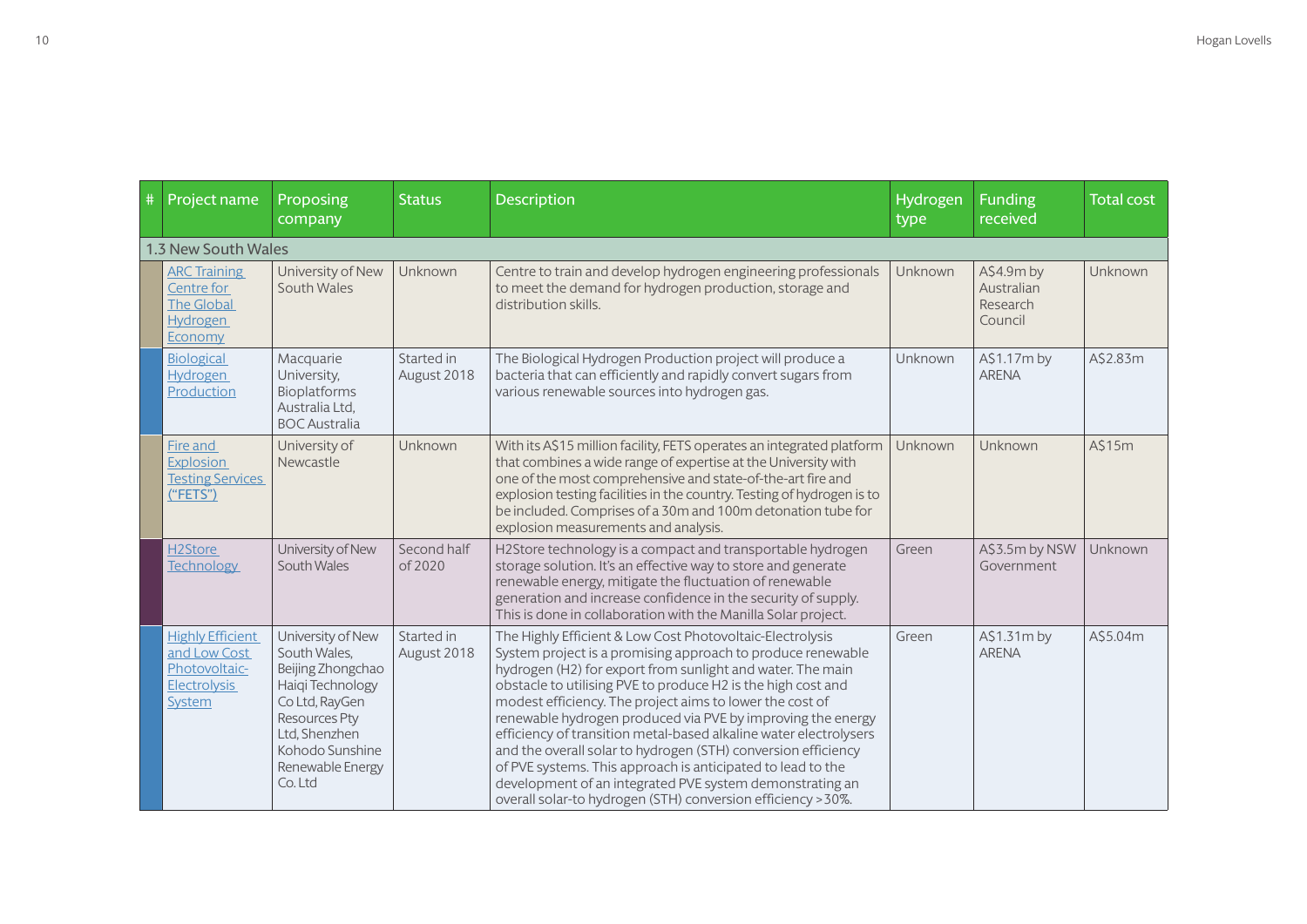| # | Project name                                                                              | Proposing<br>company                                                                                                                                                                    | <b>Status</b>             | <b>Description</b>                                                                                                                                                                                                                                                                                                                                                                                                                                                                                                                                                                                                                                                                                                 | Hydrogen<br>type | <b>Funding</b><br>received                      | <b>Total cost</b> |
|---|-------------------------------------------------------------------------------------------|-----------------------------------------------------------------------------------------------------------------------------------------------------------------------------------------|---------------------------|--------------------------------------------------------------------------------------------------------------------------------------------------------------------------------------------------------------------------------------------------------------------------------------------------------------------------------------------------------------------------------------------------------------------------------------------------------------------------------------------------------------------------------------------------------------------------------------------------------------------------------------------------------------------------------------------------------------------|------------------|-------------------------------------------------|-------------------|
|   | 1.3 New South Wales                                                                       |                                                                                                                                                                                         |                           |                                                                                                                                                                                                                                                                                                                                                                                                                                                                                                                                                                                                                                                                                                                    |                  |                                                 |                   |
|   | <b>ARC Training</b><br>Centre for<br><b>The Global</b><br><b>Hydrogen</b><br>Economy      | University of New<br>South Wales                                                                                                                                                        | Unknown                   | Centre to train and develop hydrogen engineering professionals<br>to meet the demand for hydrogen production, storage and<br>distribution skills.                                                                                                                                                                                                                                                                                                                                                                                                                                                                                                                                                                  | Unknown          | A\$4.9m by<br>Australian<br>Research<br>Council | Unknown           |
|   | <b>Biological</b><br><b>Hydrogen</b><br>Production                                        | Macquarie<br>University,<br>Bioplatforms<br>Australia Ltd.<br><b>BOC Australia</b>                                                                                                      | Started in<br>August 2018 | The Biological Hydrogen Production project will produce a<br>bacteria that can efficiently and rapidly convert sugars from<br>various renewable sources into hydrogen gas.                                                                                                                                                                                                                                                                                                                                                                                                                                                                                                                                         | Unknown          | A\$1.17m by<br><b>ARENA</b>                     | A\$2.83m          |
|   | Fire and<br><b>Explosion</b><br><b>Testing Services</b><br>("FETS")                       | University of<br>Newcastle                                                                                                                                                              | Unknown                   | With its A\$15 million facility, FETS operates an integrated platform<br>that combines a wide range of expertise at the University with<br>one of the most comprehensive and state-of-the-art fire and<br>explosion testing facilities in the country. Testing of hydrogen is to<br>be included. Comprises of a 30m and 100m detonation tube for<br>explosion measurements and analysis.                                                                                                                                                                                                                                                                                                                           | Unknown          | Unknown                                         | A\$15m            |
|   | H2Store<br><b>Technology</b>                                                              | University of New<br>South Wales                                                                                                                                                        | Second half<br>of 2020    | H2Store technology is a compact and transportable hydrogen<br>storage solution. It's an effective way to store and generate<br>renewable energy, mitigate the fluctuation of renewable<br>generation and increase confidence in the security of supply.<br>This is done in collaboration with the Manilla Solar project.                                                                                                                                                                                                                                                                                                                                                                                           | Green            | A\$3.5m by NSW<br>Government                    | Unknown           |
|   | <b>Highly Efficient</b><br>and Low Cost<br>Photovoltaic-<br><b>Electrolysis</b><br>System | University of New<br>South Wales,<br>Beijing Zhongchao<br>Haigi Technology<br>Co Ltd, RayGen<br><b>Resources Pty</b><br>Ltd, Shenzhen<br>Kohodo Sunshine<br>Renewable Energy<br>Co. Ltd | Started in<br>August 2018 | The Highly Efficient & Low Cost Photovoltaic-Electrolysis<br>System project is a promising approach to produce renewable<br>hydrogen (H2) for export from sunlight and water. The main<br>obstacle to utilising PVE to produce H2 is the high cost and<br>modest efficiency. The project aims to lower the cost of<br>renewable hydrogen produced via PVE by improving the energy<br>efficiency of transition metal-based alkaline water electrolysers<br>and the overall solar to hydrogen (STH) conversion efficiency<br>of PVE systems. This approach is anticipated to lead to the<br>development of an integrated PVE system demonstrating an<br>overall solar-to hydrogen (STH) conversion efficiency > 30%. | Green            | A\$1.31m by<br><b>ARENA</b>                     | A\$5.04m          |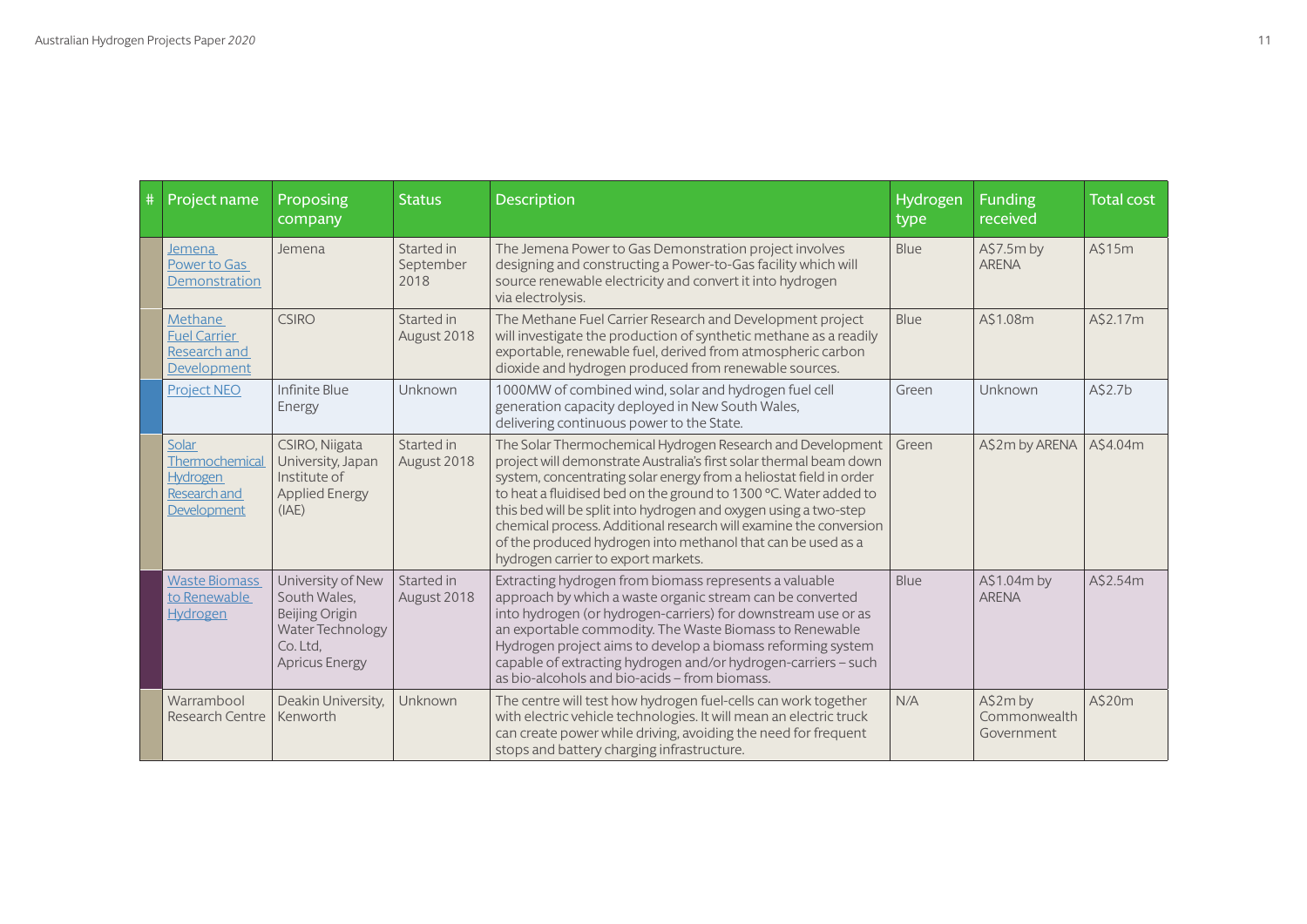| # | Project name                                                              | Proposing<br>company                                                                                                | <b>Status</b>                   | <b>Description</b>                                                                                                                                                                                                                                                                                                                                                                                                                                                                                                         | Hydrogen<br>type | <b>Funding</b><br>received             | <b>Total cost</b> |
|---|---------------------------------------------------------------------------|---------------------------------------------------------------------------------------------------------------------|---------------------------------|----------------------------------------------------------------------------------------------------------------------------------------------------------------------------------------------------------------------------------------------------------------------------------------------------------------------------------------------------------------------------------------------------------------------------------------------------------------------------------------------------------------------------|------------------|----------------------------------------|-------------------|
|   | Jemena<br>Power to Gas<br>Demonstration                                   | Jemena                                                                                                              | Started in<br>September<br>2018 | The Jemena Power to Gas Demonstration project involves<br>designing and constructing a Power-to-Gas facility which will<br>source renewable electricity and convert it into hydrogen<br>via electrolysis.                                                                                                                                                                                                                                                                                                                  | Blue             | A\$7.5m by<br><b>ARENA</b>             | A\$15m            |
|   | Methane<br><b>Fuel Carrier</b><br>Research and<br><b>Development</b>      | <b>CSIRO</b>                                                                                                        | Started in<br>August 2018       | The Methane Fuel Carrier Research and Development project<br>will investigate the production of synthetic methane as a readily<br>exportable, renewable fuel, derived from atmospheric carbon<br>dioxide and hydrogen produced from renewable sources.                                                                                                                                                                                                                                                                     | Blue             | A\$1.08m                               | A\$2.17m          |
|   | <b>Project NEO</b>                                                        | Infinite Blue<br>Energy                                                                                             | Unknown                         | 1000MW of combined wind, solar and hydrogen fuel cell<br>generation capacity deployed in New South Wales,<br>delivering continuous power to the State.                                                                                                                                                                                                                                                                                                                                                                     | Green            | Unknown                                | A\$2.7b           |
|   | Solar<br>Thermochemical<br><b>Hydrogen</b><br>Research and<br>Development | CSIRO, Niigata<br>University, Japan<br>Institute of<br><b>Applied Energy</b><br>(IAE)                               | Started in<br>August 2018       | The Solar Thermochemical Hydrogen Research and Development<br>project will demonstrate Australia's first solar thermal beam down<br>system, concentrating solar energy from a heliostat field in order<br>to heat a fluidised bed on the ground to 1300 °C. Water added to<br>this bed will be split into hydrogen and oxygen using a two-step<br>chemical process. Additional research will examine the conversion<br>of the produced hydrogen into methanol that can be used as a<br>hydrogen carrier to export markets. | Green            | A\$2m by ARENA                         | A\$4.04m          |
|   | <b>Waste Biomass</b><br>to Renewable<br><b>Hydrogen</b>                   | University of New<br>South Wales,<br>Beijing Origin<br><b>Water Technology</b><br>Co. Ltd.<br><b>Apricus Energy</b> | Started in<br>August 2018       | Extracting hydrogen from biomass represents a valuable<br>approach by which a waste organic stream can be converted<br>into hydrogen (or hydrogen-carriers) for downstream use or as<br>an exportable commodity. The Waste Biomass to Renewable<br>Hydrogen project aims to develop a biomass reforming system<br>capable of extracting hydrogen and/or hydrogen-carriers - such<br>as bio-alcohols and bio-acids – from biomass.                                                                                          | Blue             | A\$1.04m by<br><b>ARENA</b>            | A\$2.54m          |
|   | Warrambool<br>Research Centre                                             | Deakin University,<br>Kenworth                                                                                      | Unknown                         | The centre will test how hydrogen fuel-cells can work together<br>with electric vehicle technologies. It will mean an electric truck<br>can create power while driving, avoiding the need for frequent<br>stops and battery charging infrastructure.                                                                                                                                                                                                                                                                       | N/A              | A\$2m by<br>Commonwealth<br>Government | A\$20m            |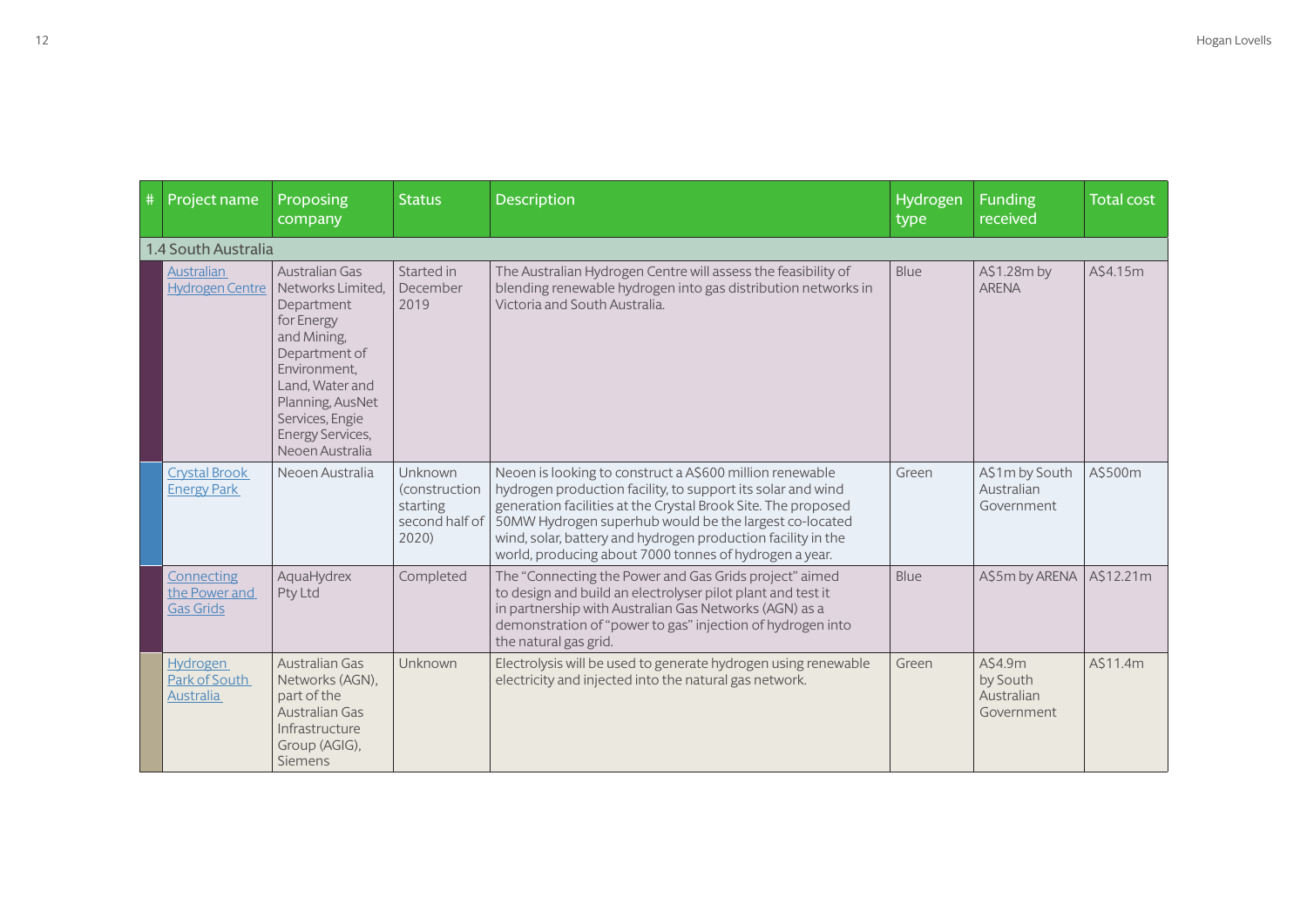| $\#$ | Project name                                    | Proposing<br>company                                                                                                                                                                                                    | <b>Status</b>                                                   | <b>Description</b>                                                                                                                                                                                                                                                                                                                                                           | <b>Hydrogen</b><br>type | <b>Funding</b><br>received                      | <b>Total cost</b> |
|------|-------------------------------------------------|-------------------------------------------------------------------------------------------------------------------------------------------------------------------------------------------------------------------------|-----------------------------------------------------------------|------------------------------------------------------------------------------------------------------------------------------------------------------------------------------------------------------------------------------------------------------------------------------------------------------------------------------------------------------------------------------|-------------------------|-------------------------------------------------|-------------------|
|      | 1.4 South Australia                             |                                                                                                                                                                                                                         |                                                                 |                                                                                                                                                                                                                                                                                                                                                                              |                         |                                                 |                   |
|      | <b>Australian</b><br><b>Hydrogen Centre</b>     | <b>Australian Gas</b><br>Networks Limited.<br>Department<br>for Energy<br>and Mining.<br>Department of<br>Environment.<br>Land, Water and<br>Planning, AusNet<br>Services, Engie<br>Energy Services,<br>Neoen Australia | Started in<br>December<br>2019                                  | The Australian Hydrogen Centre will assess the feasibility of<br>blending renewable hydrogen into gas distribution networks in<br>Victoria and South Australia.                                                                                                                                                                                                              | Blue                    | A\$1.28m by<br><b>ARENA</b>                     | A\$4.15m          |
|      | <b>Crystal Brook</b><br><b>Energy Park</b>      | Neoen Australia                                                                                                                                                                                                         | Unknown<br>(construction<br>starting<br>second half of<br>2020) | Neoen is looking to construct a A\$600 million renewable<br>hydrogen production facility, to support its solar and wind<br>generation facilities at the Crystal Brook Site. The proposed<br>50MW Hydrogen superhub would be the largest co-located<br>wind, solar, battery and hydrogen production facility in the<br>world, producing about 7000 tonnes of hydrogen a year. | Green                   | A\$1m by South<br>Australian<br>Government      | A\$500m           |
|      | Connecting<br>the Power and<br><b>Gas Grids</b> | AquaHydrex<br>Pty Ltd                                                                                                                                                                                                   | Completed                                                       | The "Connecting the Power and Gas Grids project" aimed<br>to design and build an electrolyser pilot plant and test it<br>in partnership with Australian Gas Networks (AGN) as a<br>demonstration of "power to gas" injection of hydrogen into<br>the natural gas grid.                                                                                                       | Blue                    | A\$5m by ARENA                                  | A\$12.21m         |
|      | <b>Hydrogen</b><br>Park of South<br>Australia   | Australian Gas<br>Networks (AGN),<br>part of the<br>Australian Gas<br>Infrastructure<br>Group (AGIG),<br>Siemens                                                                                                        | Unknown                                                         | Electrolysis will be used to generate hydrogen using renewable<br>electricity and injected into the natural gas network.                                                                                                                                                                                                                                                     | Green                   | A\$4.9m<br>by South<br>Australian<br>Government | A\$11.4m          |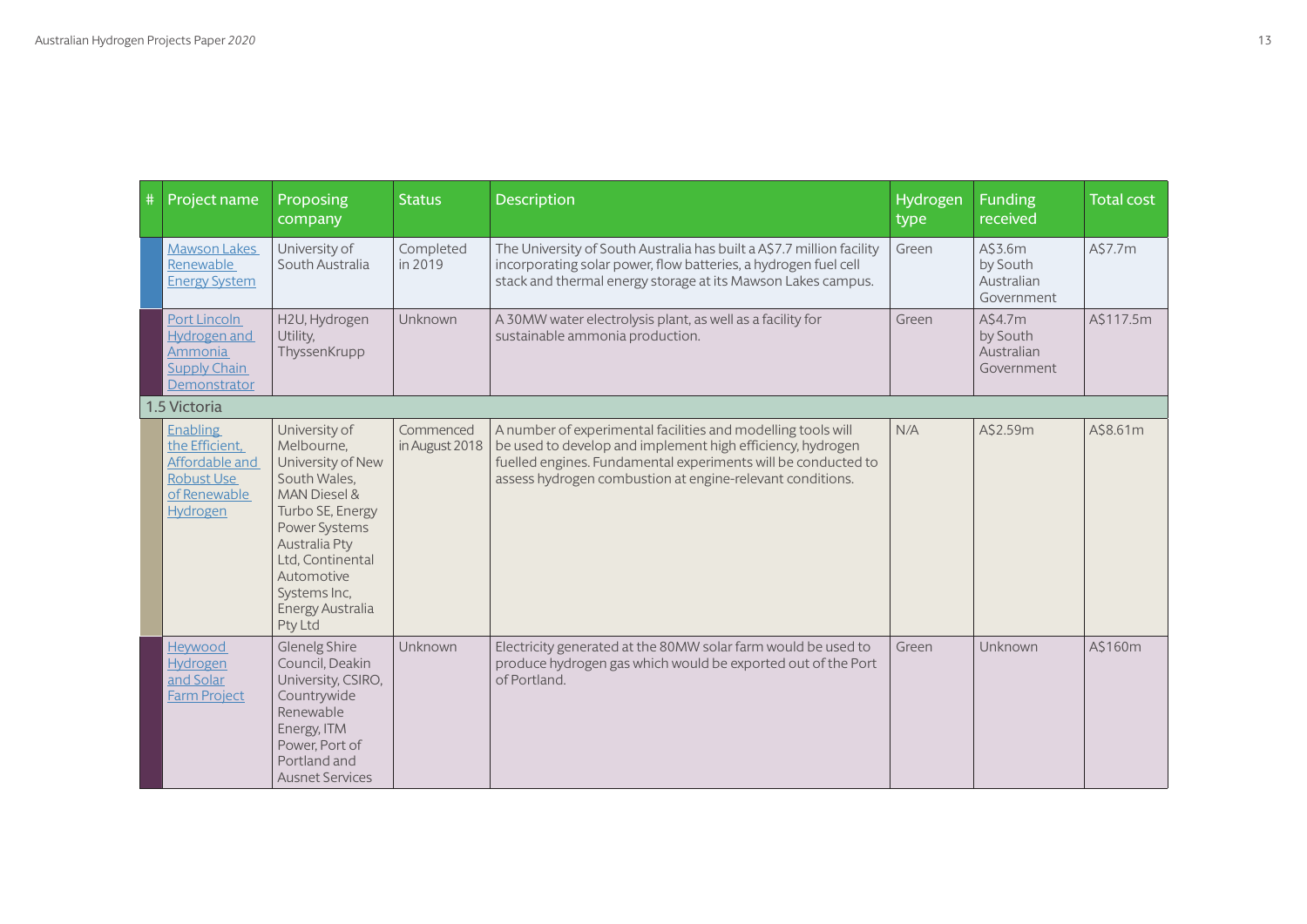| $\#$ | Project name                                                                                                | Proposing<br>company                                                                                                                                                                                                                      | <b>Status</b>               | <b>Description</b>                                                                                                                                                                                                                                       | <b>Hydrogen</b><br>type | <b>Funding</b><br>received                            | <b>Total cost</b> |
|------|-------------------------------------------------------------------------------------------------------------|-------------------------------------------------------------------------------------------------------------------------------------------------------------------------------------------------------------------------------------------|-----------------------------|----------------------------------------------------------------------------------------------------------------------------------------------------------------------------------------------------------------------------------------------------------|-------------------------|-------------------------------------------------------|-------------------|
|      | <b>Mawson Lakes</b><br>Renewable<br><b>Energy System</b>                                                    | University of<br>South Australia                                                                                                                                                                                                          | Completed<br>in 2019        | The University of South Australia has built a A\$7.7 million facility<br>incorporating solar power, flow batteries, a hydrogen fuel cell<br>stack and thermal energy storage at its Mawson Lakes campus.                                                 | Green                   | A\$3.6m<br>by South<br>Australian<br>Government       | A\$7.7m           |
|      | Port Lincoln<br><b>Hydrogen and</b><br>Ammonia<br><b>Supply Chain</b><br>Demonstrator                       | H2U, Hydrogen<br>Utility,<br>ThyssenKrupp                                                                                                                                                                                                 | Unknown                     | A 30MW water electrolysis plant, as well as a facility for<br>sustainable ammonia production.                                                                                                                                                            | Green                   | $A$ \$4.7 $m$<br>by South<br>Australian<br>Government | A\$117.5m         |
|      | 1.5 Victoria                                                                                                |                                                                                                                                                                                                                                           |                             |                                                                                                                                                                                                                                                          |                         |                                                       |                   |
|      | <b>Enabling</b><br>the Efficient,<br>Affordable and<br><b>Robust Use</b><br>of Renewable<br><b>Hydrogen</b> | University of<br>Melbourne,<br>University of New<br>South Wales,<br><b>MAN Diesel &amp;</b><br>Turbo SE, Energy<br>Power Systems<br>Australia Pty<br>Ltd, Continental<br>Automotive<br>Systems Inc,<br><b>Energy Australia</b><br>Pty Ltd | Commenced<br>in August 2018 | A number of experimental facilities and modelling tools will<br>be used to develop and implement high efficiency, hydrogen<br>fuelled engines. Fundamental experiments will be conducted to<br>assess hydrogen combustion at engine-relevant conditions. | N/A                     | A\$2.59m                                              | A\$8.61m          |
|      | Heywood<br>Hydrogen<br>and Solar<br><b>Farm Project</b>                                                     | <b>Glenelg Shire</b><br>Council, Deakin<br>University, CSIRO,<br>Countrywide<br>Renewable<br>Energy, ITM<br>Power, Port of<br>Portland and<br><b>Ausnet Services</b>                                                                      | Unknown                     | Electricity generated at the 80MW solar farm would be used to<br>produce hydrogen gas which would be exported out of the Port<br>of Portland.                                                                                                            | Green                   | Unknown                                               | A\$160m           |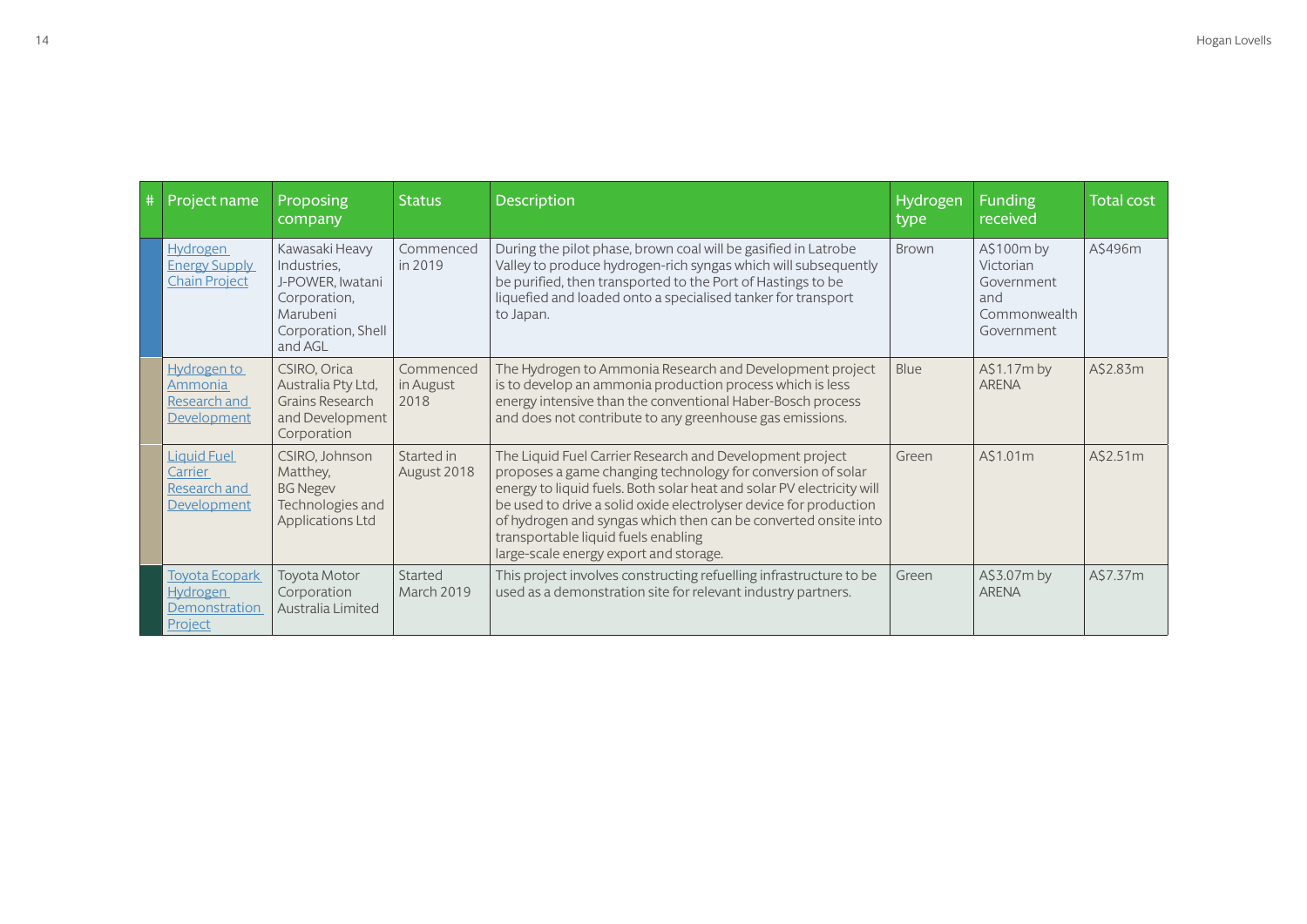| # | Project name                                                  | Proposing<br>company                                                                                           | <b>Status</b>                  | <b>Description</b>                                                                                                                                                                                                                                                                                                                                                                                                       | Hydrogen<br>type | <b>Funding</b><br>received                                                 | <b>Total cost</b> |
|---|---------------------------------------------------------------|----------------------------------------------------------------------------------------------------------------|--------------------------------|--------------------------------------------------------------------------------------------------------------------------------------------------------------------------------------------------------------------------------------------------------------------------------------------------------------------------------------------------------------------------------------------------------------------------|------------------|----------------------------------------------------------------------------|-------------------|
|   | Hydrogen<br><b>Energy Supply</b><br><b>Chain Project</b>      | Kawasaki Heavy<br>Industries,<br>J-POWER, Iwatani<br>Corporation,<br>Marubeni<br>Corporation, Shell<br>and AGL | Commenced<br>in 2019           | During the pilot phase, brown coal will be gasified in Latrobe<br>Valley to produce hydrogen-rich syngas which will subsequently<br>be purified, then transported to the Port of Hastings to be<br>liquefied and loaded onto a specialised tanker for transport<br>to Japan.                                                                                                                                             | <b>Brown</b>     | A\$100m by<br>Victorian<br>Government<br>and<br>Commonwealth<br>Government | A\$496m           |
|   | <b>Hydrogen to</b><br>Ammonia<br>Research and<br>Development  | CSIRO, Orica<br>Australia Pty Ltd,<br>Grains Research<br>and Development<br>Corporation                        | Commenced<br>in August<br>2018 | The Hydrogen to Ammonia Research and Development project<br>is to develop an ammonia production process which is less<br>energy intensive than the conventional Haber-Bosch process<br>and does not contribute to any greenhouse gas emissions.                                                                                                                                                                          | Blue             | A\$1.17m by<br><b>ARENA</b>                                                | A\$2.83m          |
|   | <b>Liquid Fuel</b><br>Carrier<br>Research and<br>Development  | CSIRO, Johnson<br>Matthey,<br><b>BG Negev</b><br>Technologies and<br><b>Applications Ltd</b>                   | Started in<br>August 2018      | The Liquid Fuel Carrier Research and Development project<br>proposes a game changing technology for conversion of solar<br>energy to liquid fuels. Both solar heat and solar PV electricity will<br>be used to drive a solid oxide electrolyser device for production<br>of hydrogen and syngas which then can be converted onsite into<br>transportable liquid fuels enabling<br>large-scale energy export and storage. | Green            | A\$1.01m                                                                   | A\$2.51m          |
|   | <b>Toyota Ecopark</b><br>Hydrogen<br>Demonstration<br>Project | <b>Toyota Motor</b><br>Corporation<br>Australia Limited                                                        | Started<br>March 2019          | This project involves constructing refuelling infrastructure to be<br>used as a demonstration site for relevant industry partners.                                                                                                                                                                                                                                                                                       | Green            | A\$3.07m by<br><b>ARENA</b>                                                | A\$7.37m          |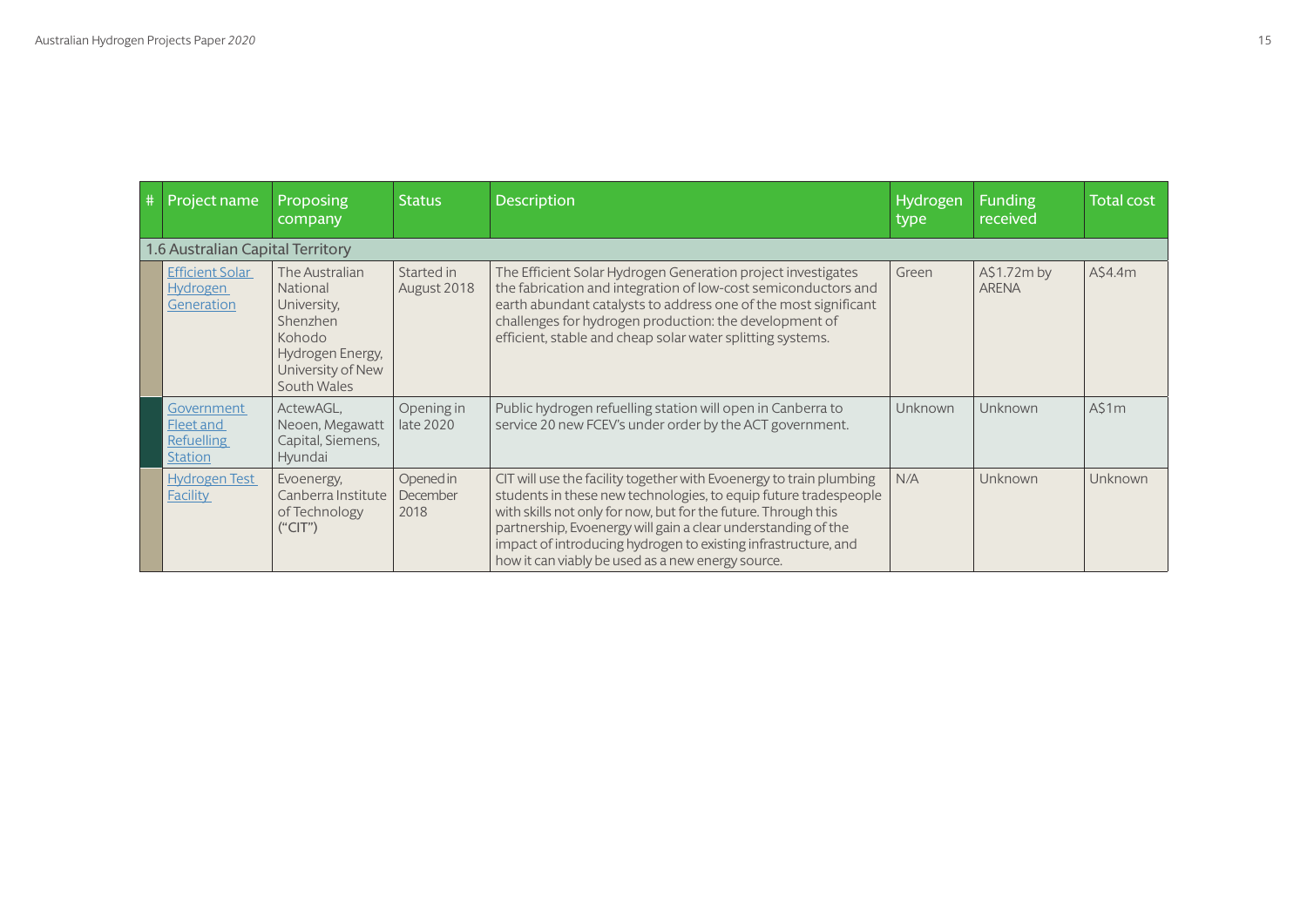| # | Project name                                                   | Proposing<br>company                                                                                                    | <b>Status</b>                 | <b>Description</b>                                                                                                                                                                                                                                                                                                                                                                                | Hydrogen<br>type | <b>Funding</b><br>received  | <b>Total cost</b> |
|---|----------------------------------------------------------------|-------------------------------------------------------------------------------------------------------------------------|-------------------------------|---------------------------------------------------------------------------------------------------------------------------------------------------------------------------------------------------------------------------------------------------------------------------------------------------------------------------------------------------------------------------------------------------|------------------|-----------------------------|-------------------|
|   | 1.6 Australian Capital Territory                               |                                                                                                                         |                               |                                                                                                                                                                                                                                                                                                                                                                                                   |                  |                             |                   |
|   | <b>Efficient Solar</b><br><b>Hydrogen</b><br>Generation        | The Australian<br>National<br>University,<br>Shenzhen<br>Kohodo<br>Hydrogen Energy,<br>University of New<br>South Wales | Started in<br>August 2018     | The Efficient Solar Hydrogen Generation project investigates<br>the fabrication and integration of low-cost semiconductors and<br>earth abundant catalysts to address one of the most significant<br>challenges for hydrogen production: the development of<br>efficient, stable and cheap solar water splitting systems.                                                                         | Green            | A\$1.72m by<br><b>ARENA</b> | A\$4.4m           |
|   | Government<br>Fleet and<br><b>Refuelling</b><br><b>Station</b> | ActewAGL.<br>Neoen, Megawatt<br>Capital, Siemens,<br>Hyundai                                                            | Opening in<br>late 2020       | Public hydrogen refuelling station will open in Canberra to<br>service 20 new FCEV's under order by the ACT government.                                                                                                                                                                                                                                                                           | Unknown          | <b>Unknown</b>              | AS1m              |
|   | <b>Hydrogen Test</b><br><b>Facility</b>                        | Evoenergy,<br>Canberra Institute<br>of Technology<br>("CIT")                                                            | Opened in<br>December<br>2018 | CIT will use the facility together with Evoenergy to train plumbing<br>students in these new technologies, to equip future tradespeople<br>with skills not only for now, but for the future. Through this<br>partnership, Evoenergy will gain a clear understanding of the<br>impact of introducing hydrogen to existing infrastructure, and<br>how it can viably be used as a new energy source. | N/A              | Unknown                     | Unknown           |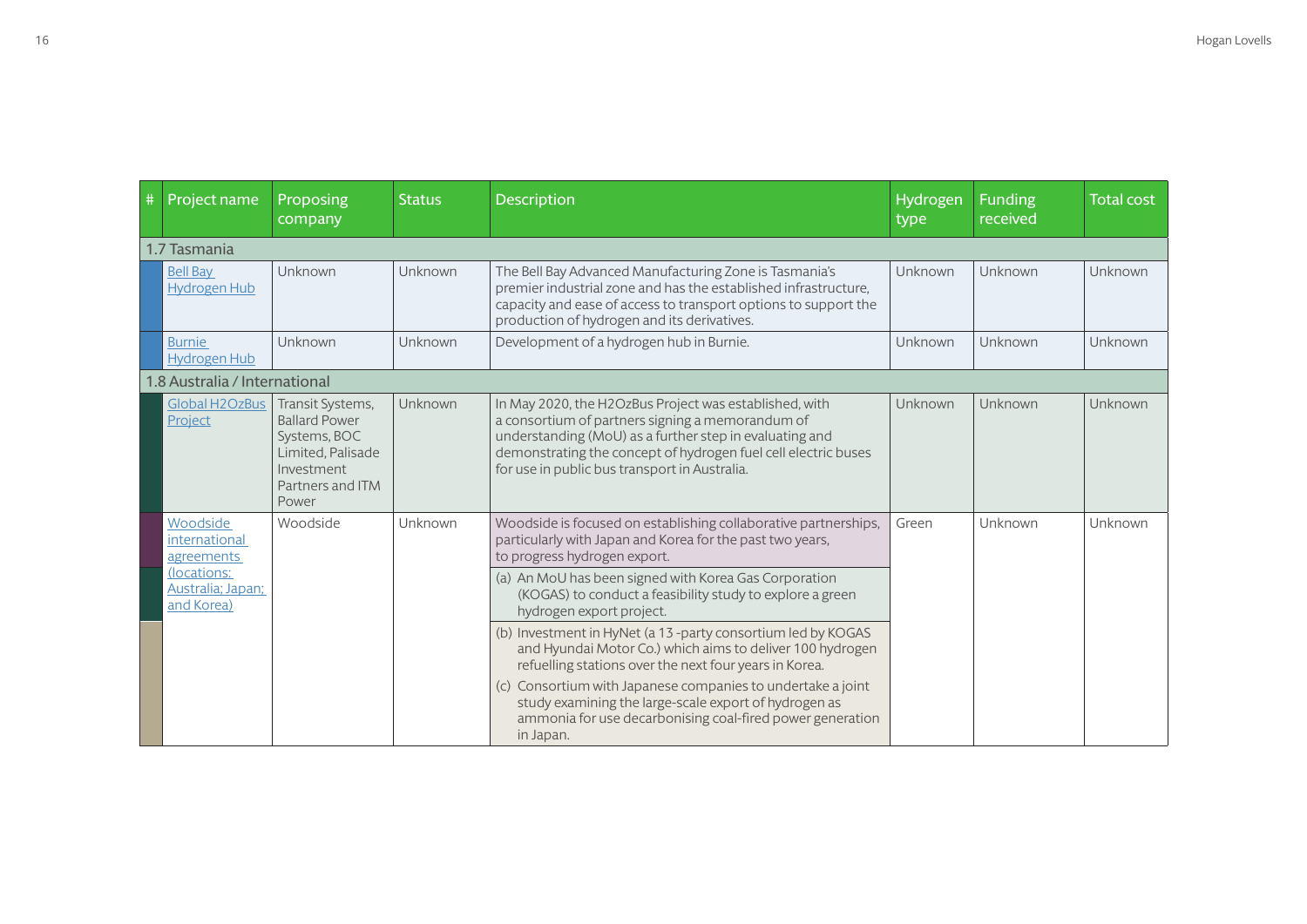| $\#$ | Project name                                   | Proposing<br>company                                                                                                     | <b>Status</b> | <b>Description</b>                                                                                                                                                                                                                                                                       | Hydrogen<br>type | <b>Funding</b><br>received | <b>Total cost</b> |
|------|------------------------------------------------|--------------------------------------------------------------------------------------------------------------------------|---------------|------------------------------------------------------------------------------------------------------------------------------------------------------------------------------------------------------------------------------------------------------------------------------------------|------------------|----------------------------|-------------------|
|      | 1.7 Tasmania                                   |                                                                                                                          |               |                                                                                                                                                                                                                                                                                          |                  |                            |                   |
|      | <b>Bell Bay</b><br><b>Hydrogen Hub</b>         | Unknown                                                                                                                  | Unknown       | The Bell Bay Advanced Manufacturing Zone is Tasmania's<br>premier industrial zone and has the established infrastructure,<br>capacity and ease of access to transport options to support the<br>production of hydrogen and its derivatives.                                              | Unknown          | Unknown                    | Unknown           |
|      | <b>Burnie</b><br><b>Hydrogen Hub</b>           | Unknown                                                                                                                  | Unknown       | Development of a hydrogen hub in Burnie.                                                                                                                                                                                                                                                 | Unknown          | Unknown                    | Unknown           |
|      | 1.8 Australia / International                  |                                                                                                                          |               |                                                                                                                                                                                                                                                                                          |                  |                            |                   |
|      | <b>Global H2OzBus</b><br>Project               | Transit Systems,<br><b>Ballard Power</b><br>Systems, BOC<br>Limited, Palisade<br>Investment<br>Partners and ITM<br>Power | Unknown       | In May 2020, the H2OzBus Project was established, with<br>a consortium of partners signing a memorandum of<br>understanding (MoU) as a further step in evaluating and<br>demonstrating the concept of hydrogen fuel cell electric buses<br>for use in public bus transport in Australia. | Unknown          | Unknown                    | Unknown           |
|      | Woodside<br>international<br>agreements        | Woodside                                                                                                                 | Unknown       | Woodside is focused on establishing collaborative partnerships,<br>particularly with Japan and Korea for the past two years,<br>to progress hydrogen export.                                                                                                                             | Green            | Unknown<br>Unknown         |                   |
|      | (locations:<br>Australia; Japan;<br>and Korea) |                                                                                                                          |               | (a) An MoU has been signed with Korea Gas Corporation<br>(KOGAS) to conduct a feasibility study to explore a green<br>hydrogen export project.                                                                                                                                           |                  |                            |                   |
|      |                                                |                                                                                                                          |               | (b) Investment in HyNet (a 13 -party consortium led by KOGAS<br>and Hyundai Motor Co.) which aims to deliver 100 hydrogen<br>refuelling stations over the next four years in Korea.                                                                                                      |                  |                            |                   |
|      |                                                |                                                                                                                          |               | (c) Consortium with Japanese companies to undertake a joint<br>study examining the large-scale export of hydrogen as<br>ammonia for use decarbonising coal-fired power generation<br>in Japan.                                                                                           |                  |                            |                   |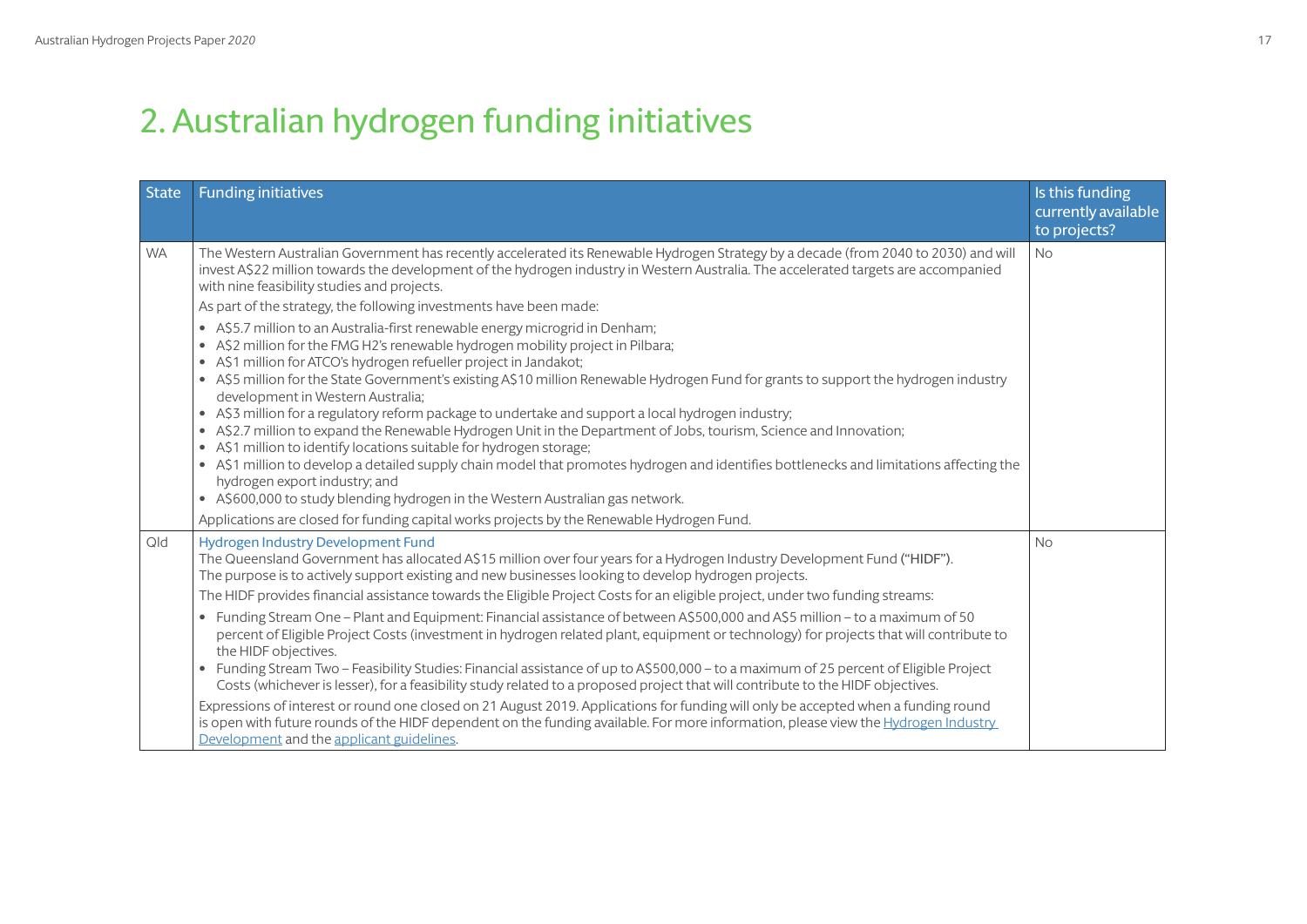## 2. Australian hydrogen funding initiatives

| <b>State</b> | <b>Funding initiatives</b>                                                                                                                                                                                                                                                                                                                                                                                                                                                                                                                                                                                                                                                                                                                                                                                                                                                                                                                                                         | Is this funding<br>currently available<br>to projects? |
|--------------|------------------------------------------------------------------------------------------------------------------------------------------------------------------------------------------------------------------------------------------------------------------------------------------------------------------------------------------------------------------------------------------------------------------------------------------------------------------------------------------------------------------------------------------------------------------------------------------------------------------------------------------------------------------------------------------------------------------------------------------------------------------------------------------------------------------------------------------------------------------------------------------------------------------------------------------------------------------------------------|--------------------------------------------------------|
| <b>WA</b>    | The Western Australian Government has recently accelerated its Renewable Hydrogen Strategy by a decade (from 2040 to 2030) and will<br>invest A\$22 million towards the development of the hydrogen industry in Western Australia. The accelerated targets are accompanied<br>with nine feasibility studies and projects.                                                                                                                                                                                                                                                                                                                                                                                                                                                                                                                                                                                                                                                          | <b>No</b>                                              |
|              | As part of the strategy, the following investments have been made:                                                                                                                                                                                                                                                                                                                                                                                                                                                                                                                                                                                                                                                                                                                                                                                                                                                                                                                 |                                                        |
|              | • A\$5.7 million to an Australia-first renewable energy microgrid in Denham;<br>• A\$2 million for the FMG H2's renewable hydrogen mobility project in Pilbara;<br>• A\$1 million for ATCO's hydrogen refueller project in Jandakot;<br>• A\$5 million for the State Government's existing A\$10 million Renewable Hydrogen Fund for grants to support the hydrogen industry<br>development in Western Australia;<br>• A\$3 million for a regulatory reform package to undertake and support a local hydrogen industry;<br>• A\$2.7 million to expand the Renewable Hydrogen Unit in the Department of Jobs, tourism, Science and Innovation;<br>• A\$1 million to identify locations suitable for hydrogen storage;<br>• A\$1 million to develop a detailed supply chain model that promotes hydrogen and identifies bottlenecks and limitations affecting the<br>hydrogen export industry; and<br>• A\$600,000 to study blending hydrogen in the Western Australian gas network. |                                                        |
|              | Applications are closed for funding capital works projects by the Renewable Hydrogen Fund.                                                                                                                                                                                                                                                                                                                                                                                                                                                                                                                                                                                                                                                                                                                                                                                                                                                                                         |                                                        |
| Qld          | Hydrogen Industry Development Fund<br>The Queensland Government has allocated A\$15 million over four years for a Hydrogen Industry Development Fund ("HIDF").<br>The purpose is to actively support existing and new businesses looking to develop hydrogen projects.                                                                                                                                                                                                                                                                                                                                                                                                                                                                                                                                                                                                                                                                                                             | <b>No</b>                                              |
|              | The HIDF provides financial assistance towards the Eligible Project Costs for an eligible project, under two funding streams:                                                                                                                                                                                                                                                                                                                                                                                                                                                                                                                                                                                                                                                                                                                                                                                                                                                      |                                                        |
|              | • Funding Stream One - Plant and Equipment: Financial assistance of between A\$500,000 and A\$5 million - to a maximum of 50<br>percent of Eligible Project Costs (investment in hydrogen related plant, equipment or technology) for projects that will contribute to<br>the HIDF objectives.<br>• Funding Stream Two - Feasibility Studies: Financial assistance of up to A\$500,000 - to a maximum of 25 percent of Eligible Project<br>Costs (whichever is lesser), for a feasibility study related to a proposed project that will contribute to the HIDF objectives.                                                                                                                                                                                                                                                                                                                                                                                                         |                                                        |
|              | Expressions of interest or round one closed on 21 August 2019. Applications for funding will only be accepted when a funding round<br>is open with future rounds of the HIDF dependent on the funding available. For more information, please view the Hydrogen Industry<br>Development and the applicant guidelines.                                                                                                                                                                                                                                                                                                                                                                                                                                                                                                                                                                                                                                                              |                                                        |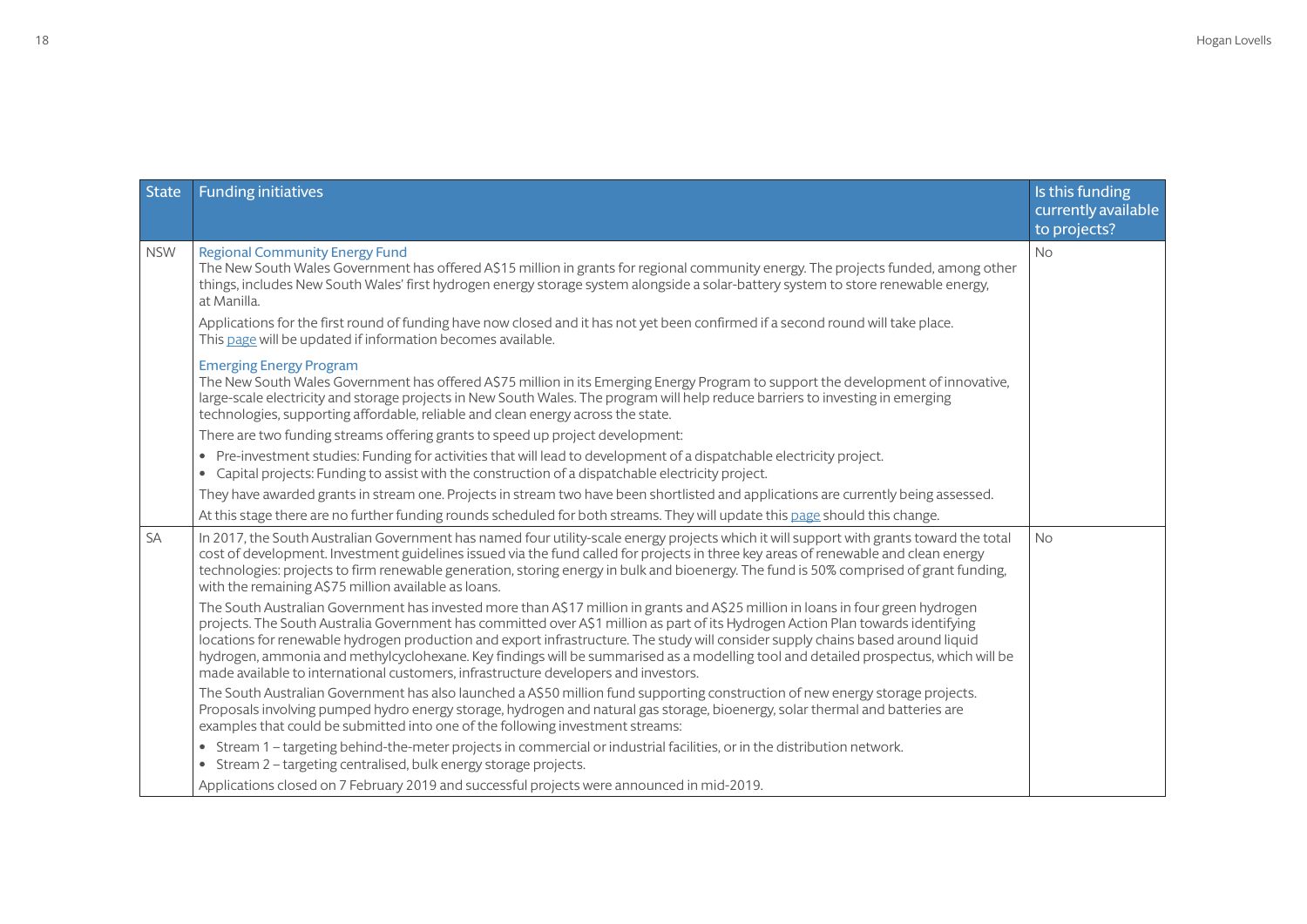| <b>State</b> | <b>Funding initiatives</b>                                                                                                                                                                                                                                                                                                                                                                                                                                                                                                                                                                                                             | Is this funding<br>currently available<br>to projects? |
|--------------|----------------------------------------------------------------------------------------------------------------------------------------------------------------------------------------------------------------------------------------------------------------------------------------------------------------------------------------------------------------------------------------------------------------------------------------------------------------------------------------------------------------------------------------------------------------------------------------------------------------------------------------|--------------------------------------------------------|
| <b>NSW</b>   | <b>Regional Community Energy Fund</b><br>The New South Wales Government has offered A\$15 million in grants for regional community energy. The projects funded, among other<br>things, includes New South Wales' first hydrogen energy storage system alongside a solar-battery system to store renewable energy,<br>at Manilla.                                                                                                                                                                                                                                                                                                       | <b>No</b>                                              |
|              | Applications for the first round of funding have now closed and it has not yet been confirmed if a second round will take place.<br>This page will be updated if information becomes available.                                                                                                                                                                                                                                                                                                                                                                                                                                        |                                                        |
|              | <b>Emerging Energy Program</b><br>The New South Wales Government has offered A\$75 million in its Emerging Energy Program to support the development of innovative,<br>large-scale electricity and storage projects in New South Wales. The program will help reduce barriers to investing in emerging<br>technologies, supporting affordable, reliable and clean energy across the state.                                                                                                                                                                                                                                             |                                                        |
|              | There are two funding streams offering grants to speed up project development:                                                                                                                                                                                                                                                                                                                                                                                                                                                                                                                                                         |                                                        |
|              | • Pre-investment studies: Funding for activities that will lead to development of a dispatchable electricity project.<br>• Capital projects: Funding to assist with the construction of a dispatchable electricity project.                                                                                                                                                                                                                                                                                                                                                                                                            |                                                        |
|              | They have awarded grants in stream one. Projects in stream two have been shortlisted and applications are currently being assessed.                                                                                                                                                                                                                                                                                                                                                                                                                                                                                                    |                                                        |
|              | At this stage there are no further funding rounds scheduled for both streams. They will update this page should this change.                                                                                                                                                                                                                                                                                                                                                                                                                                                                                                           |                                                        |
| SA           | In 2017, the South Australian Government has named four utility-scale energy projects which it will support with grants toward the total<br>cost of development. Investment guidelines issued via the fund called for projects in three key areas of renewable and clean energy<br>technologies: projects to firm renewable generation, storing energy in bulk and bioenergy. The fund is 50% comprised of grant funding,<br>with the remaining A\$75 million available as loans.                                                                                                                                                      | <b>No</b>                                              |
|              | The South Australian Government has invested more than A\$17 million in grants and A\$25 million in loans in four green hydrogen<br>projects. The South Australia Government has committed over A\$1 million as part of its Hydrogen Action Plan towards identifying<br>locations for renewable hydrogen production and export infrastructure. The study will consider supply chains based around liquid<br>hydrogen, ammonia and methylcyclohexane. Key findings will be summarised as a modelling tool and detailed prospectus, which will be<br>made available to international customers, infrastructure developers and investors. |                                                        |
|              | The South Australian Government has also launched a A\$50 million fund supporting construction of new energy storage projects.<br>Proposals involving pumped hydro energy storage, hydrogen and natural gas storage, bioenergy, solar thermal and batteries are<br>examples that could be submitted into one of the following investment streams:                                                                                                                                                                                                                                                                                      |                                                        |
|              | • Stream 1 - targeting behind-the-meter projects in commercial or industrial facilities, or in the distribution network.<br>Stream 2 - targeting centralised, bulk energy storage projects.<br>$\bullet$                                                                                                                                                                                                                                                                                                                                                                                                                               |                                                        |
|              | Applications closed on 7 February 2019 and successful projects were announced in mid-2019.                                                                                                                                                                                                                                                                                                                                                                                                                                                                                                                                             |                                                        |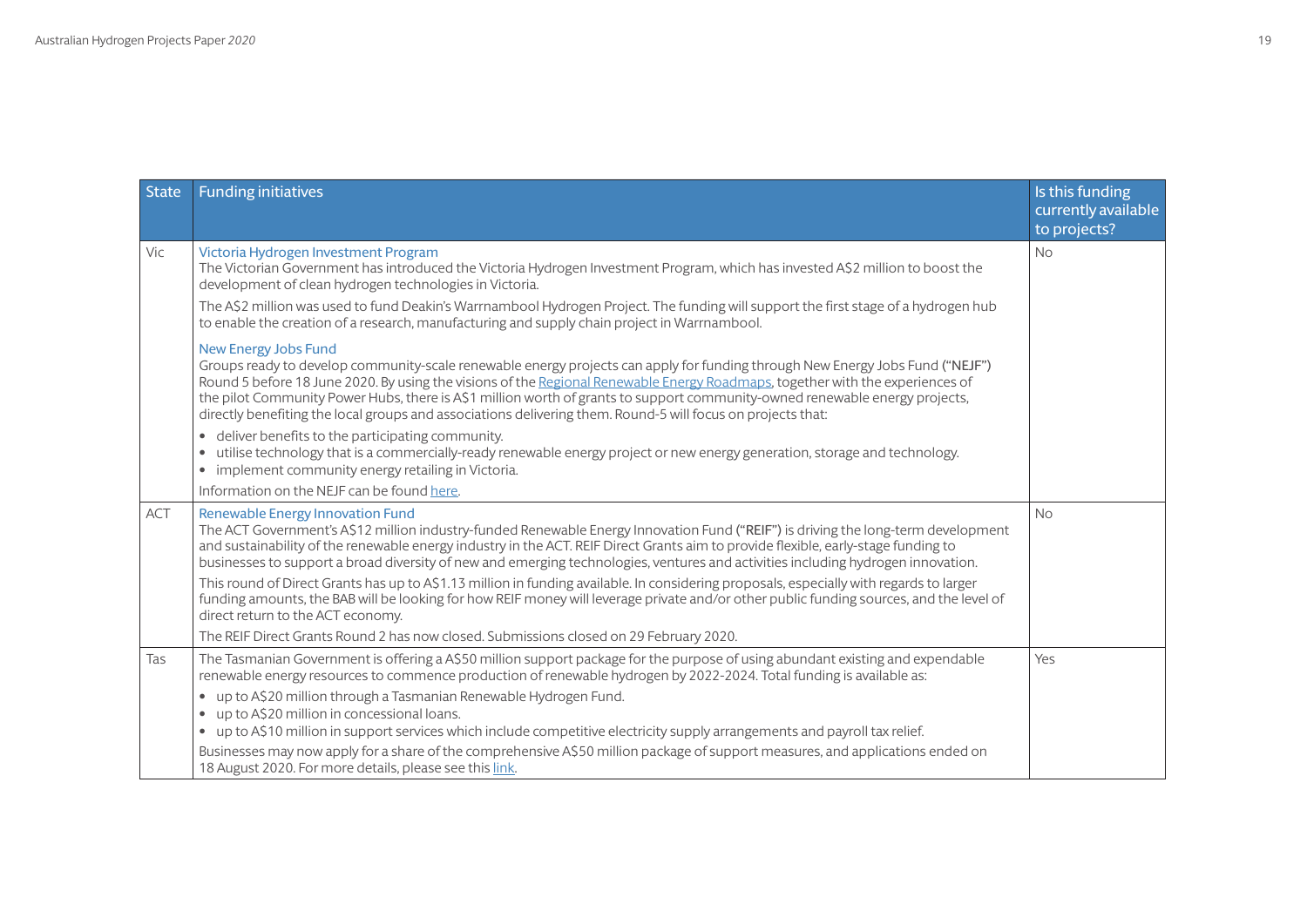| <b>State</b> | <b>Funding initiatives</b>                                                                                                                                                                                                                                                                                                                                                                                                                                                                                                                  | Is this funding<br>currently available<br>to projects? |
|--------------|---------------------------------------------------------------------------------------------------------------------------------------------------------------------------------------------------------------------------------------------------------------------------------------------------------------------------------------------------------------------------------------------------------------------------------------------------------------------------------------------------------------------------------------------|--------------------------------------------------------|
| Vic          | Victoria Hydrogen Investment Program<br>The Victorian Government has introduced the Victoria Hydrogen Investment Program, which has invested A\$2 million to boost the<br>development of clean hydrogen technologies in Victoria.                                                                                                                                                                                                                                                                                                           | <b>No</b>                                              |
|              | The A\$2 million was used to fund Deakin's Warrnambool Hydrogen Project. The funding will support the first stage of a hydrogen hub<br>to enable the creation of a research, manufacturing and supply chain project in Warrnambool.                                                                                                                                                                                                                                                                                                         |                                                        |
|              | <b>New Energy Jobs Fund</b><br>Groups ready to develop community-scale renewable energy projects can apply for funding through New Energy Jobs Fund ("NEJF")<br>Round 5 before 18 June 2020. By using the visions of the Regional Renewable Energy Roadmaps, together with the experiences of<br>the pilot Community Power Hubs, there is A\$1 million worth of grants to support community-owned renewable energy projects,<br>directly benefiting the local groups and associations delivering them. Round-5 will focus on projects that: |                                                        |
|              | • deliver benefits to the participating community.<br>utilise technology that is a commercially-ready renewable energy project or new energy generation, storage and technology.<br>$\bullet$<br>• implement community energy retailing in Victoria.                                                                                                                                                                                                                                                                                        |                                                        |
|              | Information on the NEJF can be found here.                                                                                                                                                                                                                                                                                                                                                                                                                                                                                                  |                                                        |
| <b>ACT</b>   | Renewable Energy Innovation Fund<br>The ACT Government's A\$12 million industry-funded Renewable Energy Innovation Fund ("REIF") is driving the long-term development<br>and sustainability of the renewable energy industry in the ACT. REIF Direct Grants aim to provide flexible, early-stage funding to<br>businesses to support a broad diversity of new and emerging technologies, ventures and activities including hydrogen innovation.                                                                                             | <b>No</b>                                              |
|              | This round of Direct Grants has up to A\$1.13 million in funding available. In considering proposals, especially with regards to larger<br>funding amounts, the BAB will be looking for how REIF money will leverage private and/or other public funding sources, and the level of<br>direct return to the ACT economy.                                                                                                                                                                                                                     |                                                        |
|              | The REIF Direct Grants Round 2 has now closed. Submissions closed on 29 February 2020.                                                                                                                                                                                                                                                                                                                                                                                                                                                      |                                                        |
| Tas          | The Tasmanian Government is offering a A\$50 million support package for the purpose of using abundant existing and expendable<br>renewable energy resources to commence production of renewable hydrogen by 2022-2024. Total funding is available as:                                                                                                                                                                                                                                                                                      | Yes                                                    |
|              | • up to A\$20 million through a Tasmanian Renewable Hydrogen Fund.<br>• up to A\$20 million in concessional loans.                                                                                                                                                                                                                                                                                                                                                                                                                          |                                                        |
|              | • up to A\$10 million in support services which include competitive electricity supply arrangements and payroll tax relief.                                                                                                                                                                                                                                                                                                                                                                                                                 |                                                        |
|              | Businesses may now apply for a share of the comprehensive A\$50 million package of support measures, and applications ended on<br>18 August 2020. For more details, please see this link.                                                                                                                                                                                                                                                                                                                                                   |                                                        |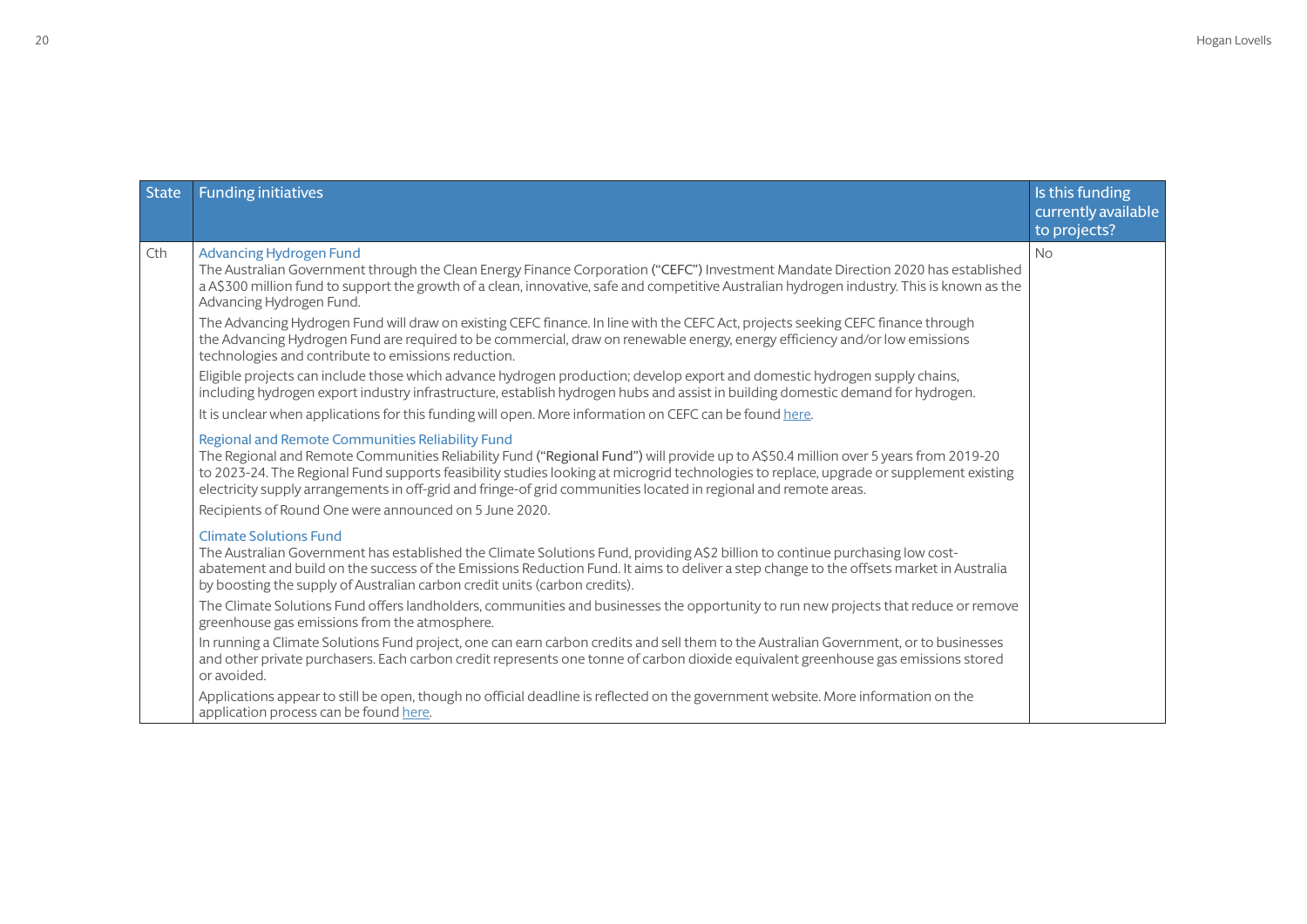| <b>State</b> | <b>Funding initiatives</b>                                                                                                                                                                                                                                                                                                                                                                                                                             | Is this funding<br>currently available<br>to projects? |
|--------------|--------------------------------------------------------------------------------------------------------------------------------------------------------------------------------------------------------------------------------------------------------------------------------------------------------------------------------------------------------------------------------------------------------------------------------------------------------|--------------------------------------------------------|
| Cth          | <b>Advancing Hydrogen Fund</b><br>The Australian Government through the Clean Energy Finance Corporation ("CEFC") Investment Mandate Direction 2020 has established<br>a A\$300 million fund to support the growth of a clean, innovative, safe and competitive Australian hydrogen industry. This is known as the<br>Advancing Hydrogen Fund.                                                                                                         | <b>No</b>                                              |
|              | The Advancing Hydrogen Fund will draw on existing CEFC finance. In line with the CEFC Act, projects seeking CEFC finance through<br>the Advancing Hydrogen Fund are required to be commercial, draw on renewable energy, energy efficiency and/or low emissions<br>technologies and contribute to emissions reduction.                                                                                                                                 |                                                        |
|              | Eligible projects can include those which advance hydrogen production; develop export and domestic hydrogen supply chains,<br>including hydrogen export industry infrastructure, establish hydrogen hubs and assist in building domestic demand for hydrogen.                                                                                                                                                                                          |                                                        |
|              | It is unclear when applications for this funding will open. More information on CEFC can be found here.                                                                                                                                                                                                                                                                                                                                                |                                                        |
|              | Regional and Remote Communities Reliability Fund<br>The Regional and Remote Communities Reliability Fund ("Regional Fund") will provide up to A\$50.4 million over 5 years from 2019-20<br>to 2023-24. The Regional Fund supports feasibility studies looking at microgrid technologies to replace, upgrade or supplement existing<br>electricity supply arrangements in off-grid and fringe-of grid communities located in regional and remote areas. |                                                        |
|              | Recipients of Round One were announced on 5 June 2020.                                                                                                                                                                                                                                                                                                                                                                                                 |                                                        |
|              | <b>Climate Solutions Fund</b><br>The Australian Government has established the Climate Solutions Fund, providing A\$2 billion to continue purchasing low cost-<br>abatement and build on the success of the Emissions Reduction Fund. It aims to deliver a step change to the offsets market in Australia<br>by boosting the supply of Australian carbon credit units (carbon credits).                                                                |                                                        |
|              | The Climate Solutions Fund offers landholders, communities and businesses the opportunity to run new projects that reduce or remove<br>greenhouse gas emissions from the atmosphere.                                                                                                                                                                                                                                                                   |                                                        |
|              | In running a Climate Solutions Fund project, one can earn carbon credits and sell them to the Australian Government, or to businesses<br>and other private purchasers. Each carbon credit represents one tonne of carbon dioxide equivalent greenhouse gas emissions stored<br>or avoided.                                                                                                                                                             |                                                        |
|              | Applications appear to still be open, though no official deadline is reflected on the government website. More information on the<br>application process can be found here.                                                                                                                                                                                                                                                                            |                                                        |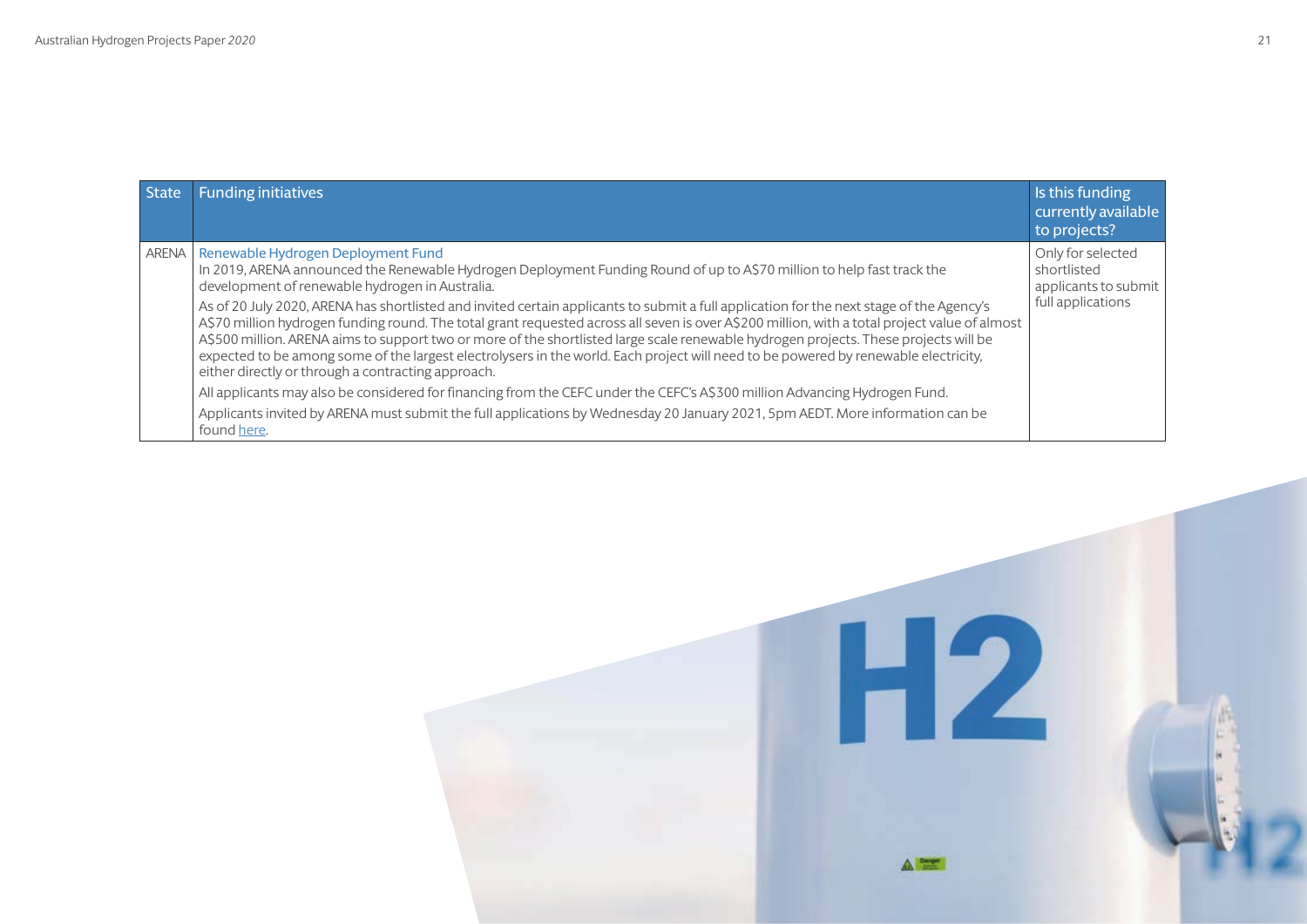| <b>State</b> | <b>Funding initiatives</b>                                                                                                                                                                                                                                                                                                                                                                                                                                                                                                                                                                                                     | Is this funding<br>currently available<br>to projects?   |
|--------------|--------------------------------------------------------------------------------------------------------------------------------------------------------------------------------------------------------------------------------------------------------------------------------------------------------------------------------------------------------------------------------------------------------------------------------------------------------------------------------------------------------------------------------------------------------------------------------------------------------------------------------|----------------------------------------------------------|
| ARENA I      | Renewable Hydrogen Deployment Fund<br>In 2019, ARENA announced the Renewable Hydrogen Deployment Funding Round of up to A\$70 million to help fast track the<br>development of renewable hydrogen in Australia.                                                                                                                                                                                                                                                                                                                                                                                                                | Only for selected<br>shortlisted<br>applicants to submit |
|              | As of 20 July 2020, ARENA has shortlisted and invited certain applicants to submit a full application for the next stage of the Agency's<br>A\$70 million hydrogen funding round. The total grant requested across all seven is over A\$200 million, with a total project value of almost<br>A\$500 million. ARENA aims to support two or more of the shortlisted large scale renewable hydrogen projects. These projects will be<br>expected to be among some of the largest electrolysers in the world. Each project will need to be powered by renewable electricity,<br>either directly or through a contracting approach. | full applications                                        |
|              | All applicants may also be considered for financing from the CEFC under the CEFC's A\$300 million Advancing Hydrogen Fund.<br>Applicants invited by ARENA must submit the full applications by Wednesday 20 January 2021, 5pm AEDT. More information can be<br>found here.                                                                                                                                                                                                                                                                                                                                                     |                                                          |

H<sub>2</sub>  $\triangle$  and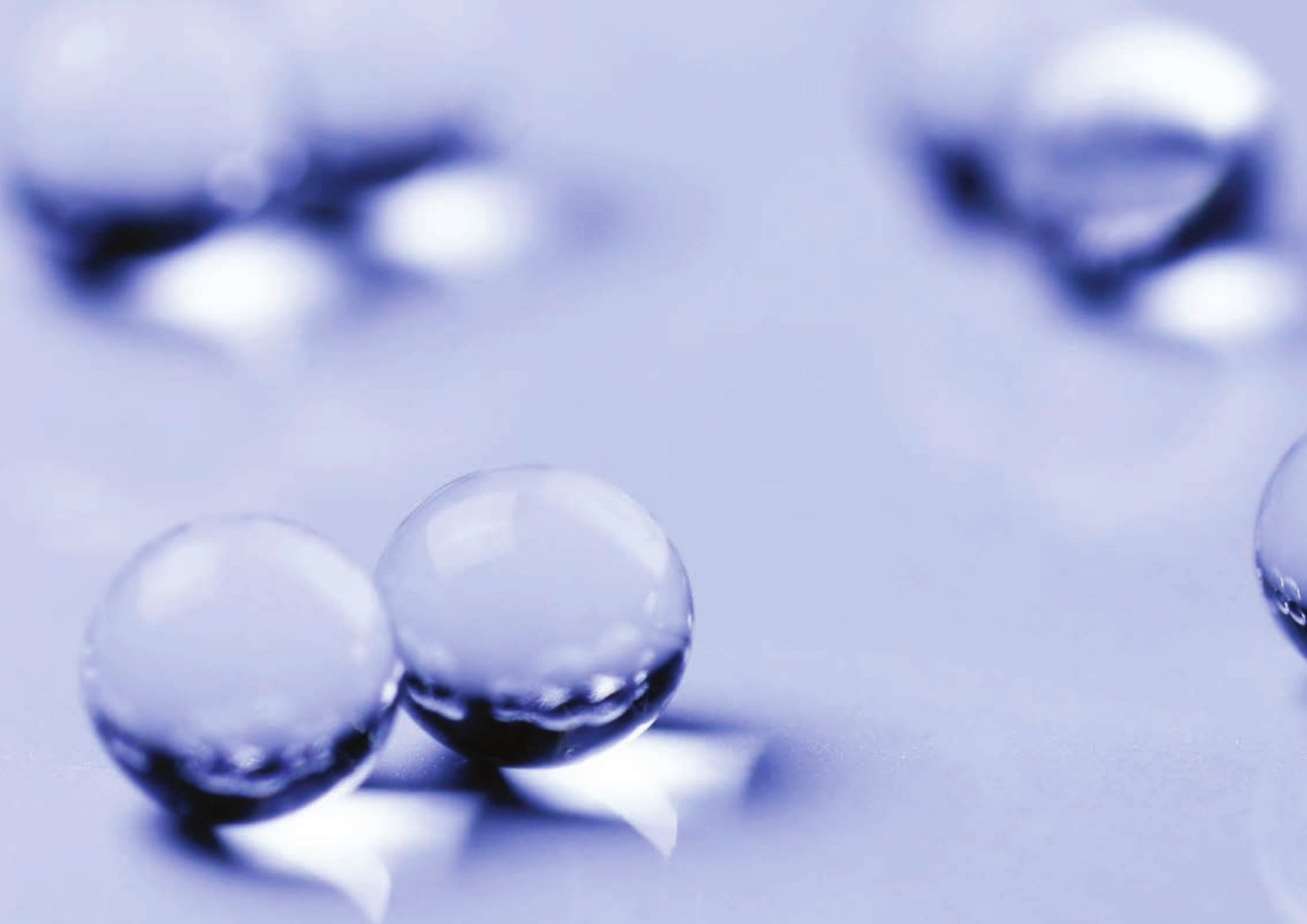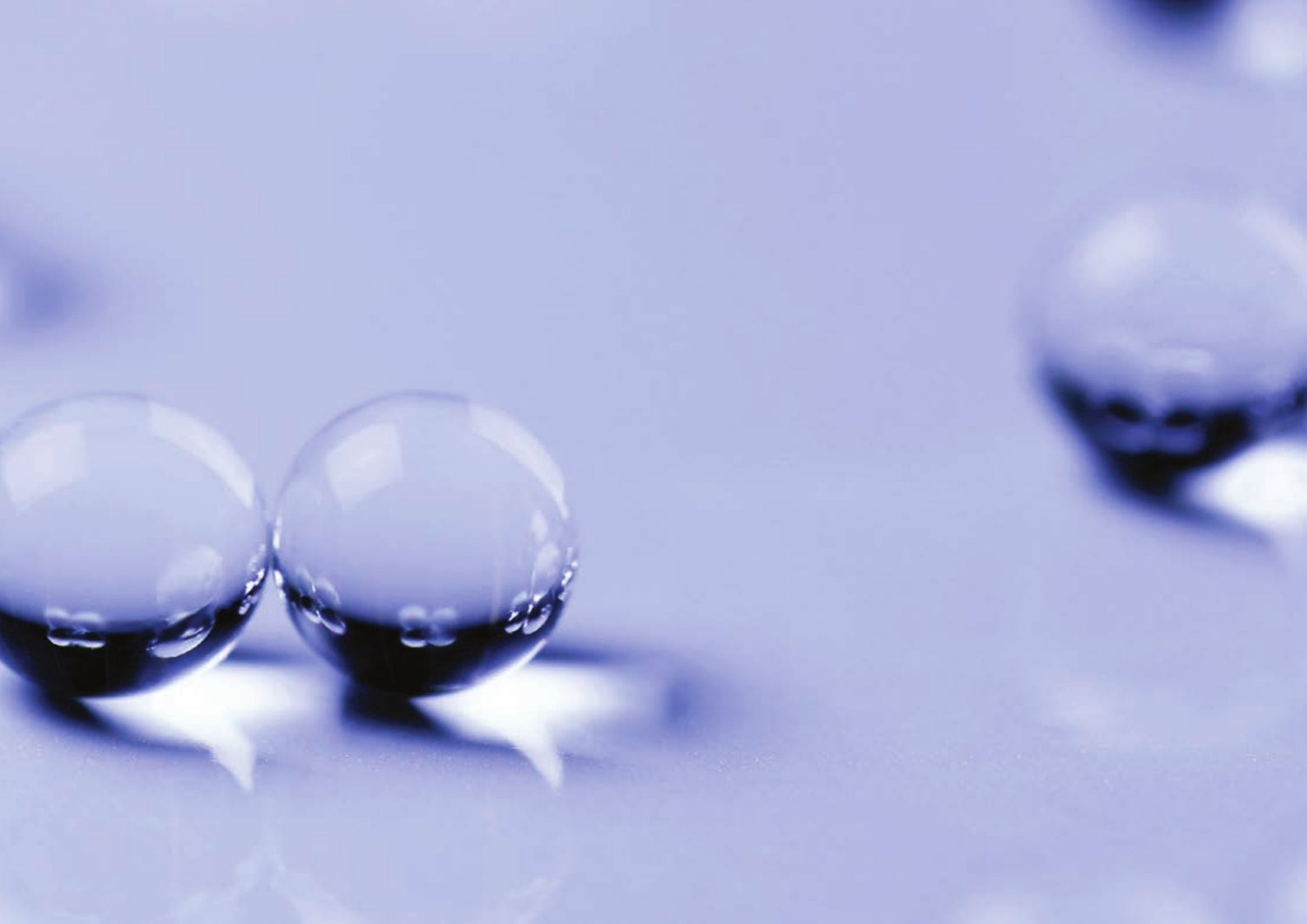